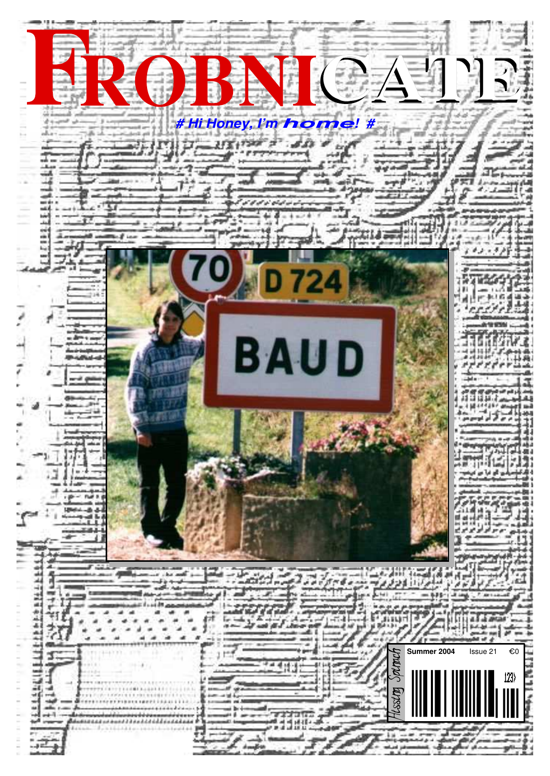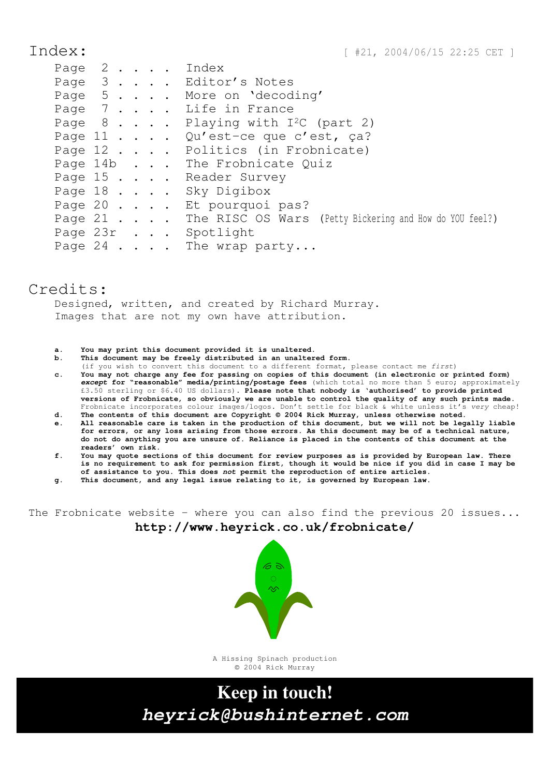Index: [#21, 2004/06/15 22:25 CET ]

|  |  |  | Page 2 Index                                                        |
|--|--|--|---------------------------------------------------------------------|
|  |  |  | Page 3 Editor's Notes                                               |
|  |  |  | Page 5 More on 'decoding'                                           |
|  |  |  | Page 7 Life in France                                               |
|  |  |  | Page $8 \cdot \cdot \cdot$ . Playing with I <sup>2</sup> C (part 2) |
|  |  |  | Page 11 Qu'est-ce que c'est, ça?                                    |
|  |  |  | Page 12 Politics (in Frobnicate)                                    |
|  |  |  | Page 14b The Frobnicate Quiz                                        |
|  |  |  | Page 15 Reader Survey                                               |
|  |  |  | Page 18 Sky Digibox                                                 |
|  |  |  | Page 20 Et pourquoi pas?                                            |
|  |  |  | Page 21 The RISC OS Wars (Petty Bickering and How do YOU feel?)     |
|  |  |  | Page 23r Spotlight                                                  |
|  |  |  | Page 24 The wrap party                                              |

### Credits:

Designed, written, and created by Richard Murray. Images that are not my own have attribution.

#### **a. You may print this document provided it is unaltered.**

- **b. This document may be freely distributed in an unaltered form.**
- (if you wish to convert this document to a different format, please contact me *first*) **c. You may not charge any fee for passing on copies of this document (in electronic or printed form)** *except* **for "reasonable" media/printing/postage fees** (which total no more than 5 euro; approximately £3.50 sterling or \$6.40 US dollars)**. Please note that nobody is 'authorised' to provide printed versions of Frobnicate, so obviously we are unable to control the quality of any such prints made.** Frobnicate incorporates colour images/logos. Don't settle for black & white unless it's *very* cheap!
- **d. The contents of this document are Copyright © 2004 Rick Murray, unless otherwise noted. e. All reasonable care is taken in the production of this document, but we will not be legally liable**
- **for errors, or any loss arising from those errors. As this document may be of a technical nature, do not do anything you are unsure of. Reliance is placed in the contents of this document at the readers' own risk.**
- **f. You may quote sections of this document for review purposes as is provided by European law. There is no requirement to ask for permission first, though it would be nice if you did in case I may be of assistance to you. This does** *not* **permit the reproduction of entire articles. g. This document, and any legal issue relating to it, is governed by European law.**
- 

The Frobnicate website − where you can also find the previous 20 issues... **http://www.heyrick.co.uk/frobnicate/**



A Hissing Spinach production © 2004 Rick Murray

**Keep in touch!** *heyrick@bushinternet.com*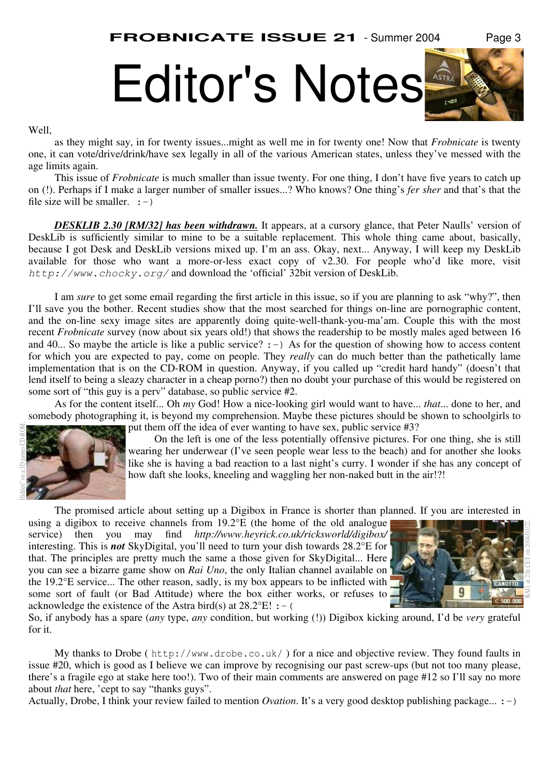

#### Well,

as they might say, in for twenty issues...might as well me in for twenty one! Now that *Frobnicate* is twenty one, it can vote/drive/drink/have sex legally in all of the various American states, unless they've messed with the age limits again.

This issue of *Frobnicate* is much smaller than issue twenty. For one thing, I don't have five years to catch up on (!). Perhaps if I make a larger number of smaller issues...? Who knows? One thing's *fer sher* and that's that the file size will be smaller.  $:-)$ 

*DESKLIB 2.30 [RM/32] has been withdrawn.* It appears, at a cursory glance, that Peter Naulls' version of DeskLib is sufficiently similar to mine to be a suitable replacement. This whole thing came about, basically, because I got Desk and DeskLib versions mixed up. I'm an ass. Okay, next... Anyway, I will keep my DeskLib available for those who want a more-or-less exact copy of v2.30. For people who'd like more, visit *http://www.chocky.org/* and download the 'official' 32bit version of DeskLib.

I am *sure* to get some email regarding the first article in this issue, so if you are planning to ask "why?", then I'll save you the bother. Recent studies show that the most searched for things on-line are pornographic content, and the on-line sexy image sites are apparently doing quite-well-thank-you-ma'am. Couple this with the most recent *Frobnicate* survey (now about six years old!) that shows the readership to be mostly males aged between 16 and 40... So maybe the article is like a public service?  $:-$ ) As for the question of showing how to access content for which you are expected to pay, come on people. They *really* can do much better than the pathetically lame implementation that is on the CD-ROM in question. Anyway, if you called up "credit hard handy" (doesn't that lend itself to being a sleazy character in a cheap porno?) then no doubt your purchase of this would be registered on some sort of "this guy is a perv" database, so public service #2.

As for the content itself... Oh *my* God! How a nice-looking girl would want to have... *that*... done to her, and somebody photographing it, is beyond my comprehension. Maybe these pictures should be shown to schoolgirls to put them off the idea of ever wanting to have sex, public service #3?



On the left is one of the less potentially offensive pictures. For one thing, she is still wearing her underwear (I've seen people wear less to the beach) and for another she looks like she is having a bad reaction to a last night's curry. I wonder if she has any concept of how daft she looks, kneeling and waggling her non-naked butt in the air!?!

The promised article about setting up a Digibox in France is shorter than planned. If you are interested in

using a digibox to receive channels from 19.2°E (the home of the old analogue service) then you may find *http://www.heyrick.co.uk/ricksworld/digibox/* interesting. This is *not* SkyDigital, you'll need to turn your dish towards 28.2°E for that. The principles are pretty much the same a those given for SkyDigital... Here you can see a bizarre game show on *Rai Uno*, the only Italian channel available on the 19.2°E service... The other reason, sadly, is my box appears to be inflicted with some sort of fault (or Bad Attitude) where the box either works, or refuses to acknowledge the existence of the Astra bird(s) at  $28.2^{\circ}E!$  : - (



So, if anybody has a spare (*any* type, *any* condition, but working (!)) Digibox kicking around, I'd be *very* grateful for it.

My thanks to Drobe ( http://www.drobe.co.uk/ ) for a nice and objective review. They found faults in issue #20, which is good as I believe we can improve by recognising our past screw-ups (but not too many please, there's a fragile ego at stake here too!). Two of their main comments are answered on page #12 so I'll say no more about *that* here, 'cept to say "thanks guys".

Actually, Drobe, I think your review failed to mention *Ovation*. It's a very good desktop publishing package... :-)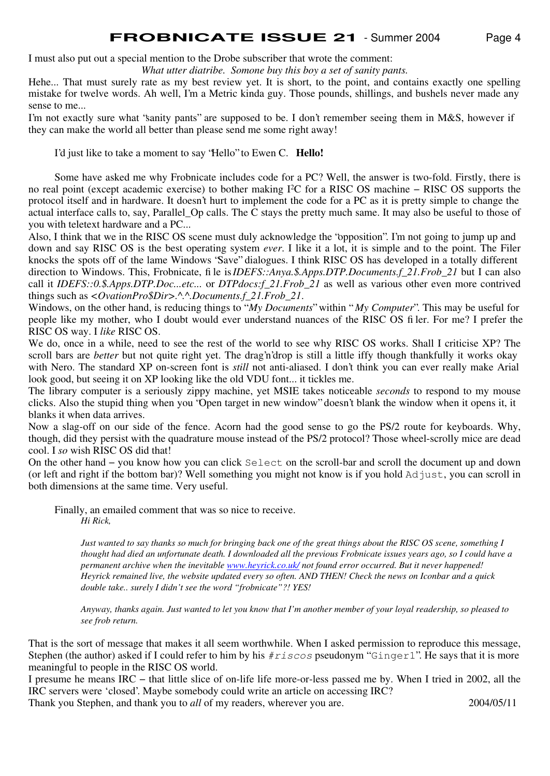I must also put out a special mention to the Drobe subscriber that wrote the comment:

*What utter diatribe. Somone buy this boy a set of sanity pants.*

Hehe... That must surely rate as my best review yet. It is short, to the point, and contains exactly one spelling mistake for twelve words. Ah well, I'm a Metric kinda guy. Those pounds, shillings, and bushels never made any sense to me...

I'm not exactly sure what "sanity pants" are supposed to be. I don't remember seeing them in M&S, however if they can make the world all better than please send me some right away!

I'd just like to take a moment to say "Hello" to Ewen C. **Hello!**

Some have asked me why Frobnicate includes code for a PC? Well, the answer is two-fold. Firstly, there is no real point (except academic exercise) to bother making I2C for a RISC OS machine − RISC OS supports the protocol itself and in hardware. It doesn't hurt to implement the code for a PC as it is pretty simple to change the actual interface calls to, say, Parallel\_Op calls. The C stays the pretty much same. It may also be useful to those of you with teletext hardware and a PC...

Also, I think that we in the RISC OS scene must duly acknowledge the "opposition". I'm not going to jump up and down and say RISC OS is the best operating system *ever*. I like it a lot, it is simple and to the point. The Filer knocks the spots off of the lame Windows "Save" dialogues. I think RISC OS has developed in a totally different direction to Windows. This, Frobnicate, file is *IDEFS::Anya.\$.Apps.DTP.Documents.f\_21.Frob\_21* but I can also call it *IDEFS::0.\$.Apps.DTP.Doc...etc...* or *DTPdocs:f\_21.Frob\_21* as well as various other even more contrived things such as *<OvationPro\$Dir>.^.^.Documents.f\_21.Frob\_21*.

Windows, on the other hand, is reducing things to "*My Documents*" within "*My Computer*". This may be useful for people like my mother, who I doubt would ever understand nuances of the RISC OS filer. For me? I prefer the RISC OS way. I *like* RISC OS.

We do, once in a while, need to see the rest of the world to see why RISC OS works. Shall I criticise XP? The scroll bars are *better* but not quite right yet. The drag'n'drop is still a little iffy though thankfully it works okay with Nero. The standard XP on-screen font is *still* not anti-aliased. I don't think you can ever really make Arial look good, but seeing it on XP looking like the old VDU font... it tickles me.

The library computer is a seriously zippy machine, yet MSIE takes noticeable *seconds* to respond to my mouse clicks. Also the stupid thing when you "Open target in new window" doesn't blank the window when it opens it, it blanks it when data arrives.

Now a slag-off on our side of the fence. Acorn had the good sense to go the PS/2 route for keyboards. Why, though, did they persist with the quadrature mouse instead of the PS/2 protocol? Those wheel-scrolly mice are dead cool. I *so* wish RISC OS did that!

On the other hand − you know how you can click Select on the scroll-bar and scroll the document up and down (or left and right if the bottom bar)? Well something you might not know is if you hold Adjust, you can scroll in both dimensions at the same time. Very useful.

Finally, an emailed comment that was so nice to receive. *Hi Rick,*

> *Just wanted to say thanks so much for bringing back one of the great things about the RISC OS scene, something I thought had died an unfortunate death. I downloaded all the previous Frobnicate issues years ago, so I could have a permanent archive when the inevitable www.heyrick.co.uk/ not found error occurred. But it never happened! Heyrick remained live, the website updated every so often. AND THEN! Check the news on Iconbar and a quick double take.. surely I didn't see the word "frobnicate"?! YES!*

> *Anyway, thanks again. Just wanted to let you know that I'm another member of your loyal readership, so pleased to see frob return.*

That is the sort of message that makes it all seem worthwhile. When I asked permission to reproduce this message, Stephen (the author) asked if I could refer to him by his  $\#r \text{ is cos}$  pseudonym "Ginger1". He says that it is more meaningful to people in the RISC OS world.

I presume he means IRC − that little slice of on-life life more-or-less passed me by. When I tried in 2002, all the IRC servers were 'closed'. Maybe somebody could write an article on accessing IRC?

Thank you Stephen, and thank you to *all* of my readers, wherever you are. 2004/05/11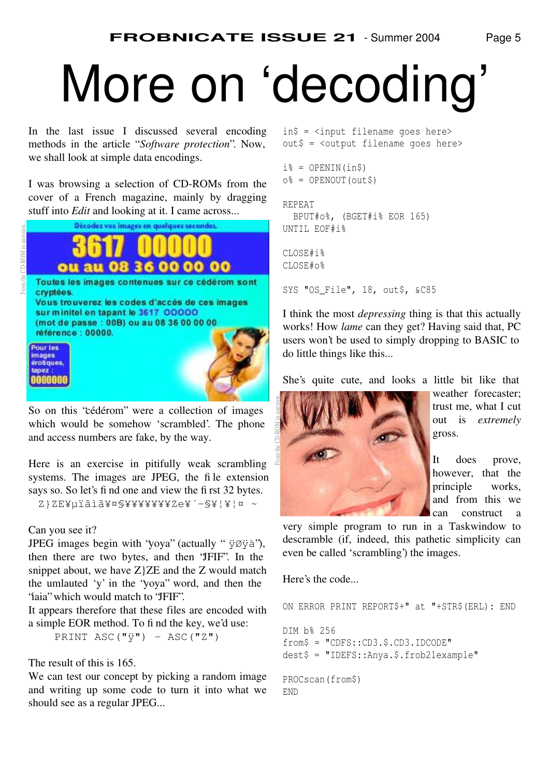# More on 'decoding'

In the last issue I discussed several encoding methods in the article "*Software protection*". Now, we shall look at simple data encodings.

I was browsing a selection of CD-ROMs from the cover of a French magazine, mainly by dragging stuff into *Edit* and looking at it. I came across...



So on this "cédérom" were a collection of images which would be somehow 'scrambled'. The phone and access numbers are fake, by the way.

Here is an exercise in pitifully weak scrambling systems. The images are JPEG, the file extension says so. So let's find one and view the first 32 bytes. Z}ZE¥µïãì㥤§¥¥¥¥¥¥¥Ze¥´-§¥¦¥¦¤~

#### Can you see it?

JPEG images begin with 'yoya'' (actually " $\ddot{\gamma} \emptyset \ddot{\gamma} \dot{\alpha}$ "), then there are two bytes, and then "JFIF". In the snippet about, we have  $Z$ } $ZE$  and the  $Z$  would match the umlauted 'y' in the "yoya" word, and then the "iaia" which would match to "JFIF".

It appears therefore that these files are encoded with a simple EOR method. To find the key, we'd use:

PRINT ASC(" $\ddot{y}$ ") - ASC("Z")

The result of this is 165.

We can test our concept by picking a random image and writing up some code to turn it into what we should see as a regular JPEG...

in\$ = <input filename goes here> out\$ = <output filename goes here>

```
i = OPENIN(in$)
o% = OPENOUT(out$)
```
REPEAT BPUT#o%, (BGET#i% EOR 165) UNTIL EOF#i%

CLOSE#i% CLOSE#o%

SYS "OS\_File", 18, out\$, &C85

I think the most *depressing* thing is that this actually works! How *lame* can they get? Having said that, PC users won't be used to simply dropping to BASIC to do little things like this...

She's quite cute, and looks a little bit like that



weather forecaster; trust me, what I cut out is *extremely* gross.

It does prove, however, that the principle works, and from this we can construct a

very simple program to run in a Taskwindow to descramble (if, indeed, this pathetic simplicity can even be called 'scrambling') the images.

Here's the code...

```
ON ERROR PRINT REPORT$+" at "+STR$(ERL): END
DIM b% 256
from$ = "CDFS::CD3.$.CD3.IDCODE"
dest$ = "IDEFS::Anya.$.frob21example"
PROCscan(from$)
END
```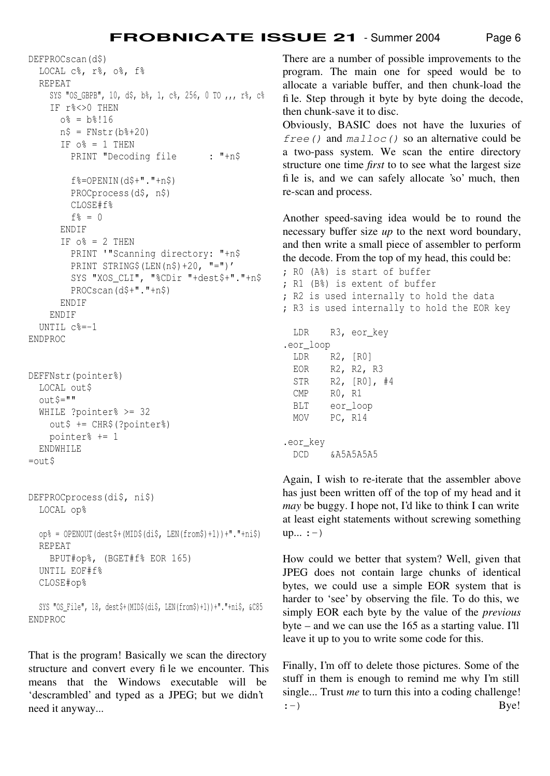DEFPROCscan(d\$) LOCAL c%, r%, o%, f% REPEAT SYS "OS GBPB", 10, d\$, b%, 1, c%, 256, 0 TO ,,, r%, c% IF r%<>0 THEN  $o_{8} = b_{8}!16$  $n\$  = FNstr(b\ + 20) IF  $o^s = 1$  THEN PRINT "Decoding file : "+n\$  $f$ %=OPENIN(d\$+"."+n\$) PROCprocess(d\$, n\$) CLOSE#f%  $f\% = 0$  ENDIF IF  $o$  = 2 THEN PRINT '"Scanning directory: "+n\$ PRINT STRING\$(LEN( $n$ \$)+20, "=")' SYS "XOS\_CLI", "%CDir "+dest\$+"."+n\$ PROCscan(d\$+"."+n\$) ENDIF ENDIF UNTIL c%=-1 ENDPROC DEFFNstr(pointer%) LOCAL out\$  $out.S = "$  WHILE ?pointer% >= 32 out\$ += CHR\$(?pointer%) pointer% += 1 ENDWHILE  $=$ out $\beta$ DEFPROCprocess(di\$, ni\$) LOCAL op%  $op_{\sigma}^s = OPENOUT$  (dest\$+ (MID\$(di\$, LEN(from\$)+1))+"."+ni\$) REPEAT BPUT#op%, (BGET#f% EOR 165) UNTIL EOF#f% CLOSE#op% SYS "OS\_File", 18, dest\$+(MID\$(di\$, LEN(from\$)+1))+"."+ni\$, &C85 ENDPROC

That is the program! Basically we scan the directory structure and convert every file we encounter. This means that the Windows executable will be 'descrambled' and typed as a JPEG; but we didn't need it anyway...

There are a number of possible improvements to the program. The main one for speed would be to allocate a variable buffer, and then chunk-load the file. Step through it byte by byte doing the decode, then chunk-save it to disc.

Obviously, BASIC does not have the luxuries of *free()* and *malloc()* so an alternative could be a two-pass system. We scan the entire directory structure one time *first* to to see what the largest size file is, and we can safely allocate 'so' much, then re-scan and process.

Another speed-saving idea would be to round the necessary buffer size *up* to the next word boundary, and then write a small piece of assembler to perform the decode. From the top of my head, this could be:

```
; R0 (A%) is start of buffer
; R1 (B%) is extent of buffer
; R2 is used internally to hold the data
; R3 is used internally to hold the EOR key
  LDR R3, eor_key
.eor_loop
  LDR R2, [R0]
  EOR R2, R2, R3
  STR R2, [R0], #4
  CMP R0, R1
  BLT eor_loop
  MOV PC, R14
.eor_key
  DCD &A5A5A5A5
```
Again, I wish to re-iterate that the assembler above has just been written off of the top of my head and it *may* be buggy. I hope not, I'd like to think I can write at least eight statements without screwing something up...  $:-)$ 

How could we better that system? Well, given that JPEG does not contain large chunks of identical bytes, we could use a simple EOR system that is harder to 'see' by observing the file. To do this, we simply EOR each byte by the value of the *previous* byte – and we can use the 165 as a starting value. I'll leave it up to you to write some code for this.

Finally, I'm off to delete those pictures. Some of the stuff in them is enough to remind me why I'm still single... Trust *me* to turn this into a coding challenge!  $:$   $\rightarrow$  Bye!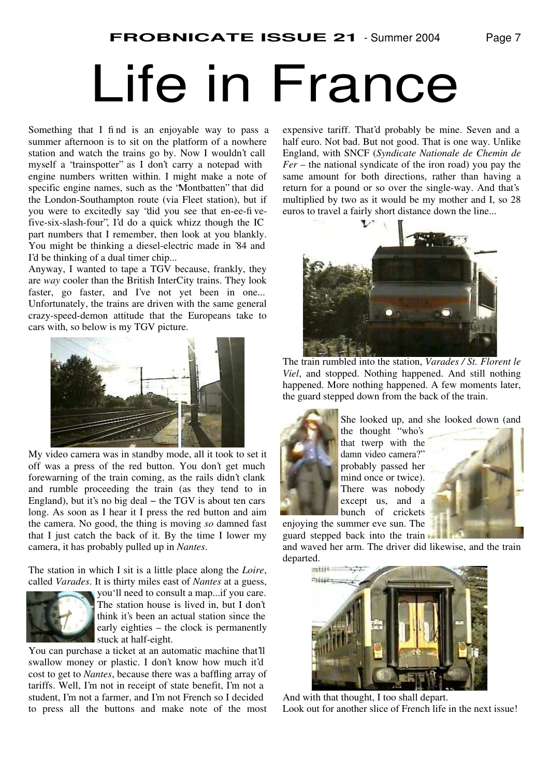# Life in France

Something that I find is an enjoyable way to pass a summer afternoon is to sit on the platform of a nowhere station and watch the trains go by. Now I wouldn't call myself a "trainspotter" as I don't carry a notepad with engine numbers written within. I might make a note of specific engine names, such as the "Montbatten" that did the London-Southampton route (via Fleet station), but if you were to excitedly say "did you see that en-ee-fivefive-six-slash-four", I'd do a quick whizz though the IC part numbers that I remember, then look at you blankly. You might be thinking a diesel-electric made in '84 and I'd be thinking of a dual timer chip...

Anyway, I wanted to tape a TGV because, frankly, they are *way* cooler than the British InterCity trains. They look faster, go faster, and I've not yet been in one... Unfortunately, the trains are driven with the same general crazy-speed-demon attitude that the Europeans take to cars with, so below is my TGV picture.



My video camera was in standby mode, all it took to set it off was a press of the red button. You don't get much forewarning of the train coming, as the rails didn't clank and rumble proceeding the train (as they tend to in England), but it's no big deal − the TGV is about ten cars long. As soon as I hear it I press the red button and aim the camera. No good, the thing is moving *so* damned fast that I just catch the back of it. By the time I lower my camera, it has probably pulled up in *Nantes*.

The station in which I sit is a little place along the *Loire*, called *Varades*. It is thirty miles east of *Nantes* at a guess,



you'll need to consult a map...if you care. The station house is lived in, but I don't think it's been an actual station since the early eighties – the clock is permanently stuck at half-eight.

You can purchase a ticket at an automatic machine that'll swallow money or plastic. I don't know how much it'd cost to get to *Nantes*, because there was a baffling array of tariffs. Well, I'm not in receipt of state benefit, I'm not a student, I'm not a farmer, and I'm not French so I decided to press all the buttons and make note of the most expensive tariff. That'd probably be mine. Seven and a half euro. Not bad. But not good. That is one way. Unlike England, with SNCF (*Syndicate Nationale de Chemin de Fer* – the national syndicate of the iron road) you pay the same amount for both directions, rather than having a return for a pound or so over the single-way. And that's multiplied by two as it would be my mother and I, so 28 euros to travel a fairly short distance down the line...



The train rumbled into the station, *Varades / St. Florent le Viel*, and stopped. Nothing happened. And still nothing happened. More nothing happened. A few moments later, the guard stepped down from the back of the train.



She looked up, and she looked down (and

the thought "who's that twerp with the damn video camera?" probably passed her mind once or twice). There was nobody except us, and a bunch of crickets



guard stepped back into the train and waved her arm. The driver did likewise, and the train

enjoying the summer eve sun. The



And with that thought, I too shall depart. Look out for another slice of French life in the next issue!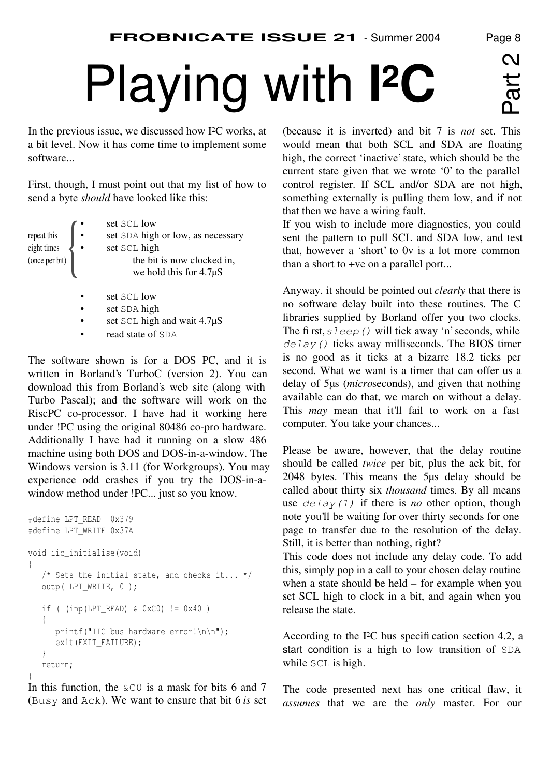In the previous issue, we discussed how I <sup>2</sup>C works, at a bit level. Now it has come time to implement some software...

First, though, I must point out that my list of how to send a byte *should* have looked like this:

| repeat this<br>eight times<br>(once per bit) | set SCL low<br>set SDA high or low, as necessary<br>set SCL high<br>the bit is now clocked in,<br>we hold this for $4.7\mu S$ |
|----------------------------------------------|-------------------------------------------------------------------------------------------------------------------------------|
|                                              | set SCL low<br>$$ $\alpha$ $\alpha$ $\beta$ $\beta$ $\beta$ $\beta$                                                           |

- set SDA high
- set SCL high and wait 4.7 $\mu$ S
- read state of SDA

The software shown is for a DOS PC, and it is written in Borland's TurboC (version 2). You can download this from Borland's web site (along with Turbo Pascal); and the software will work on the RiscPC co-processor. I have had it working here under !PC using the original 80486 co-pro hardware. Additionally I have had it running on a slow 486 machine using both DOS and DOS-in-a-window. The Windows version is 3.11 (for Workgroups). You may experience odd crashes if you try the DOS-in-awindow method under !PC... just so you know.

```
#define LPT_READ 0x379
#define LPT_WRITE 0x37A
void iic_initialise(void)
{
    /* Sets the initial state, and checks it... */
    outp( LPT_WRITE, 0 );
    if ( (inp(LPT_READ) & 0xC0) != 0x40 )
    {
       printf("IIC bus hardware error!\n\n");
       exit(EXIT_FAILURE);
    }
    return;
}
```
In this function, the  $\&\text{CO}$  is a mask for bits 6 and 7 (Busy and Ack). We want to ensure that bit 6 *is* set (because it is inverted) and bit 7 is *not* set. This would mean that both SCL and SDA are floating high, the correct 'inactive' state, which should be the current state given that we wrote '0' to the parallel control register. If SCL and/or SDA are not high, something externally is pulling them low, and if not that then we have a wiring fault.

If you wish to include more diagnostics, you could sent the pattern to pull SCL and SDA low, and test that, however a 'short' to 0v is a lot more common than a short to +ve on a parallel port...

Anyway. it should be pointed out *clearly* that there is no software delay built into these routines. The C libraries supplied by Borland offer you two clocks. The first,  $s \leq e \leq p$  () will tick away 'n' seconds, while *delay()* ticks away milliseconds. The BIOS timer is no good as it ticks at a bizarre 18.2 ticks per second. What we want is a timer that can offer us a delay of 5µs (*micro*seconds), and given that nothing available can do that, we march on without a delay. This *may* mean that it'll fail to work on a fast computer. You take your chances...

Please be aware, however, that the delay routine should be called *twice* per bit, plus the ack bit, for 2048 bytes. This means the 5µs delay should be called about thirty six *thousand* times. By all means use *delay(1)* if there is *no* other option, though note you'll be waiting for over thirty seconds for one page to transfer due to the resolution of the delay. Still, it is better than nothing, right?

This code does not include any delay code. To add this, simply pop in a call to your chosen delay routine when a state should be held – for example when you set SCL high to clock in a bit, and again when you release the state.

According to the I <sup>2</sup>C bus specification section 4.2, a start condition is a high to low transition of SDA while SCL is high.

The code presented next has one critical flaw, it *assumes* that we are the *only* master. For our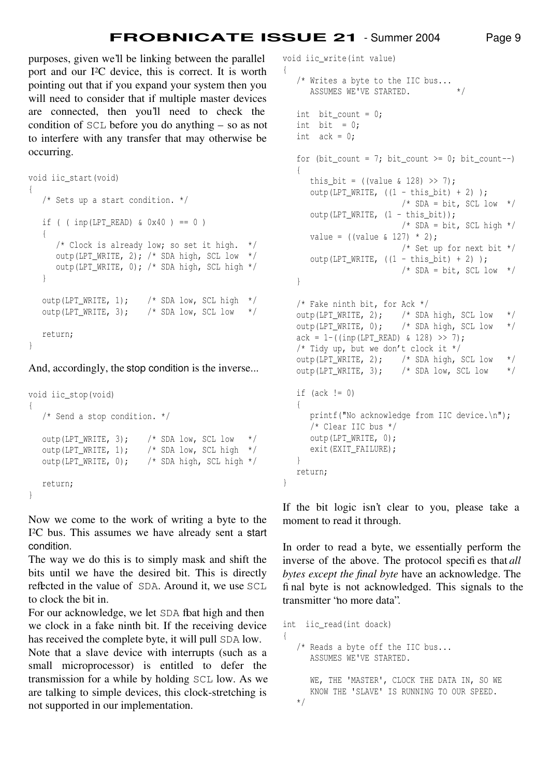{

}

purposes, given we'll be linking between the parallel port and our I <sup>2</sup>C device, this is correct. It is worth pointing out that if you expand your system then you will need to consider that if multiple master devices are connected, then you'll need to check the condition of SCL before you do anything – so as not to interfere with any transfer that may otherwise be occurring.

```
void iic_start(void)
{
    /* Sets up a start condition. */
   if ( ( inp(LPT_READ) & 0x40 ) == 0 )
\left\{ \begin{array}{c} \end{array} \right\} /* Clock is already low; so set it high. */
       outp(LPT_WRITE, 2); /* SDA high, SCL low */
       outp(LPT_WRITE, 0); /* SDA high, SCL high */
    }
    outp(LPT_WRITE, 1); /* SDA low, SCL high */
   outp(LPT_WRITE, 3); /* SDA low, SCL low */ return;
}
```
And, accordingly, the stop condition is the inverse...

```
void iic_stop(void)
{
    /* Send a stop condition. */
  outp(LPT_WRITE, 3); /* SDA low, SCL low */outp(LPT_WRITE, 1); \frac{1}{5} /* SDA low, SCL high */
   outp(LPT_WRITE, 0); /* SDA high, SCL high */
   return;
}
```
Now we come to the work of writing a byte to the I <sup>2</sup>C bus. This assumes we have already sent a start condition.

The way we do this is to simply mask and shift the bits until we have the desired bit. This is directly reflected in the value of SDA. Around it, we use SCL to clock the bit in.

For our acknowledge, we let SDA fbat high and then we clock in a fake ninth bit. If the receiving device has received the complete byte, it will pull SDA low.

Note that a slave device with interrupts (such as a small microprocessor) is entitled to defer the transmission for a while by holding SCL low. As we are talking to simple devices, this clock-stretching is not supported in our implementation.

void iic\_write(int value)

```
 /* Writes a byte to the IIC bus...
   ASSUMES WE'VE STARTED. */int bit count = 0:
int bit = 0;
int ack = 0;
for (bit_count = 7; bit_count >= 0; bit_count--)
 {
   this_bit = ((value \& 128) >> 7);output(LPT_MRITE, ((1 - this\_bit) + 2));
                       /* SDA = bit, SCL low */outp(LPT_WRITE, (1 - \text{this bit}));
                       /* SDA = bit, SCL high */
   value = ((value \& 127) * 2); /* Set up for next bit */
   outp(LPT_WRITE, ((1 - \text{this}\_bit) + 2));
                       /* SDA = bit, SCL low */ }
 /* Fake ninth bit, for Ack */
outp(LPT_WRITE, 2); /* SDA high, SCL low */
 outp(LPT_WRITE, 0); /* SDA high, SCL low */
ack = 1 - ((imp(LPT_READ) & 128) >> 7); /* Tidy up, but we don't clock it */
outp(LPT_WRITE, 2); \frac{1}{2} /* SDA high, SCL low */
outp(LPT_WRITE, 3); /* SDA low, SCL low */if (\text{ack } != 0) {
    printf("No acknowledge from IIC device.\n");
    /* Clear IIC bus */
    outp(LPT_WRITE, 0);
    exit(EXIT_FAILURE);
 }
 return;
```
If the bit logic isn't clear to you, please take a moment to read it through.

In order to read a byte, we essentially perform the inverse of the above. The protocol specifies that *all bytes except the final byte* have an acknowledge. The final byte is not acknowledged. This signals to the transmitter "no more data".

```
int iic_read(int doack)
{
    /* Reads a byte off the IIC bus...
       ASSUMES WE'VE STARTED.
       WE, THE 'MASTER', CLOCK THE DATA IN, SO WE
       KNOW THE 'SLAVE' IS RUNNING TO OUR SPEED.
    */
```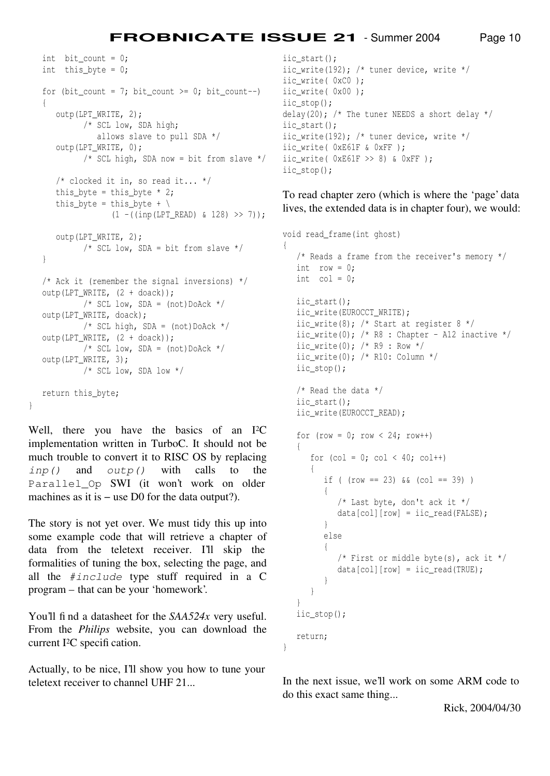```
int bit count = 0;
 int this_byte = 0;
for (bit_count = 7; bit_count >= 0; bit_count--)
 {
    outp(LPT_WRITE, 2);
          /* SCL low, SDA high;
            allows slave to pull SDA */
   outp(LPT_WRITE, 0);
          /* SCL high, SDA now = bit from slave */
    /* clocked it in, so read it... */
   this_byte = this_byte * 2;this_byte = this_byte + \backslash(1 - ((inp(LPT READ) & 128) >> 7)); outp(LPT_WRITE, 2);
         /* SCL low, SDA = bit from slave */ }
/* Ack it (remember the signal inversions) */ outp(LPT_WRITE, (2 + doack));
         /* SCL low, SDA = (not)DoAck */
 outp(LPT_WRITE, doack);
         /* SCL high, SDA = (not)DoAck */
 outp(LPT_WRITE, (2 + doack));
         /* SCL low, SDA = (not) DoAck */
 outp(LPT_WRITE, 3);
          /* SCL low, SDA low */
 return this_byte;
```
Well, there you have the basics of an I2C implementation written in TurboC. It should not be much trouble to convert it to RISC OS by replacing *inp()* and *outp()* with calls to the Parallel\_Op SWI (it won't work on older machines as it is – use D0 for the data output?).

}

The story is not yet over. We must tidy this up into some example code that will retrieve a chapter of data from the teletext receiver. I'll skip the formalities of tuning the box, selecting the page, and all the *#include* type stuff required in a C program – that can be your 'homework'.

You'll find a datasheet for the *SAA524x* very useful. From the *Philips* website, you can download the current I<sup>2</sup>C specification.

Actually, to be nice, I'll show you how to tune your teletext receiver to channel UHF 21...

```
iic_start();
iic write(192); /* tuner device, write */
iic_write( 0xC0 );
iic_write( 0x00 );
iic_stop();
delay(20); /* The tuner NEEDS a short delay */iic_start();
iic_write(192); /* tuner device, write */
iic_write( 0xE61F & 0xFF );
iic_write( 0xE61F >> 8) & 0xFF );
iic_stop();
```
To read chapter zero (which is where the 'page' data lives, the extended data is in chapter four), we would:

```
void read_frame(int ghost)
{
    /* Reads a frame from the receiver's memory */
   int row = 0;
  int col = 0; iic_start();
   iic_write(EUROCCT_WRITE);
  iic_write(8); /* Start at register 8 */iic_write(0); /* R8 : Chapter - A12 inactive */iic_write(0); /* R9 : Row */ iic_write(0); /* R10: Column */
   iic_stop();
    /* Read the data */
    iic_start();
    iic_write(EUROCCT_READ);
   for (row = 0; row < 24; row++)
    {
      for (col = 0; col < 40; col++) {
         if ( (row == 23) & (col == 39) )
\{ /* Last byte, don't ack it */
            data[col][row] = iic\_read(FALSE); }
          else
          {
             /* First or middle byte(s), ack it */
            data[col][row] = iic\_read(TRUE); }
       }
    }
    iic_stop();
    return;
}
```
In the next issue, we'll work on some ARM code to do this exact same thing...

Rick, 2004/04/30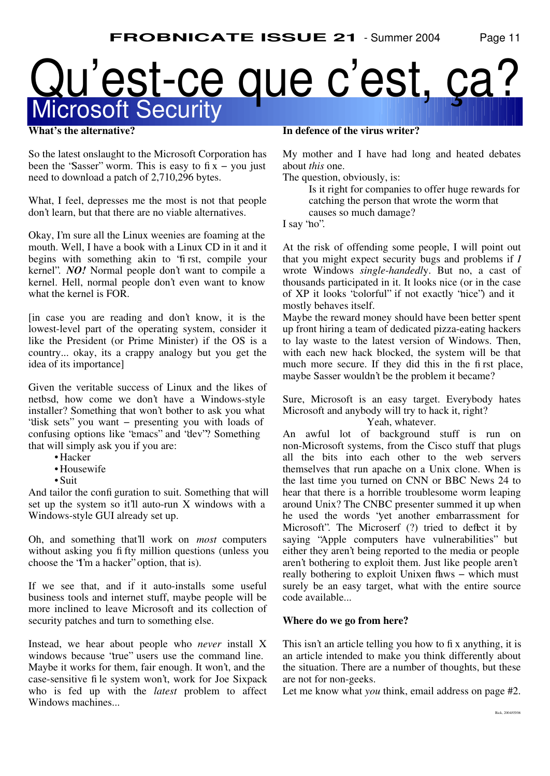# Microsoft Security Qu'est-ce que c'est, ça?

#### **What's the alternative?**

So the latest onslaught to the Microsoft Corporation has been the "Sasser" worm. This is easy to  $fix - you$  just need to download a patch of 2,710,296 bytes.

What, I feel, depresses me the most is not that people don't learn, but that there are no viable alternatives.

Okay, I'm sure all the Linux weenies are foaming at the mouth. Well, I have a book with a Linux CD in it and it begins with something akin to "first, compile your kernel". *NO!* Normal people don't want to compile a kernel. Hell, normal people don't even want to know what the kernel is FOR.

[in case you are reading and don't know, it is the lowest-level part of the operating system, consider it like the President (or Prime Minister) if the OS is a country... okay, its a crappy analogy but you get the idea of its importance]

Given the veritable success of Linux and the likes of netbsd, how come we don't have a Windows-style installer? Something that won't bother to ask you what "disk sets" you want − presenting you with loads of confusing options like "emacs" and "dev"? Something that will simply ask you if you are:

- Hacker
- Housewife
- Suit

And tailor the configuration to suit. Something that will set up the system so it'll auto-run X windows with a Windows-style GUI already set up.

Oh, and something that'll work on *most* computers without asking you fifty million questions (unless you choose the "I'm a hacker" option, that is).

If we see that, and if it auto-installs some useful business tools and internet stuff, maybe people will be more inclined to leave Microsoft and its collection of security patches and turn to something else.

Instead, we hear about people who *never* install X windows because "true" users use the command line. Maybe it works for them, fair enough. It won't, and the case-sensitive file system won't, work for Joe Sixpack who is fed up with the *latest* problem to affect Windows machines...

#### **In defence of the virus writer?**

My mother and I have had long and heated debates about *this* one.

The question, obviously, is:

Is it right for companies to offer huge rewards for catching the person that wrote the worm that causes so much damage?

I say "no".

At the risk of offending some people, I will point out that you might expect security bugs and problems if *I* wrote Windows *single-handedl*y. But no, a cast of thousands participated in it. It looks nice (or in the case of XP it looks "colorful" if not exactly "nice") and it mostly behaves itself.

Maybe the reward money should have been better spent up front hiring a team of dedicated pizza-eating hackers to lay waste to the latest version of Windows. Then, with each new hack blocked, the system will be that much more secure. If they did this in the first place, maybe Sasser wouldn't be the problem it became?

Sure, Microsoft is an easy target. Everybody hates Microsoft and anybody will try to hack it, right?

Yeah, whatever.

An awful lot of background stuff is run on non-Microsoft systems, from the Cisco stuff that plugs all the bits into each other to the web servers themselves that run apache on a Unix clone. When is the last time you turned on CNN or BBC News 24 to hear that there is a horrible troublesome worm leaping around Unix? The CNBC presenter summed it up when he used the words "yet another embarrassment for Microsoft". The Microserf (?) tried to deflect it by saying "Apple computers have vulnerabilities" but either they aren't being reported to the media or people aren't bothering to exploit them. Just like people aren't really bothering to exploit Unixen flaws – which must surely be an easy target, what with the entire source code available...

#### **Where do we go from here?**

This isn't an article telling you how to fix anything, it is an article intended to make you think differently about the situation. There are a number of thoughts, but these are not for non-geeks.

Let me know what *you* think, email address on page #2.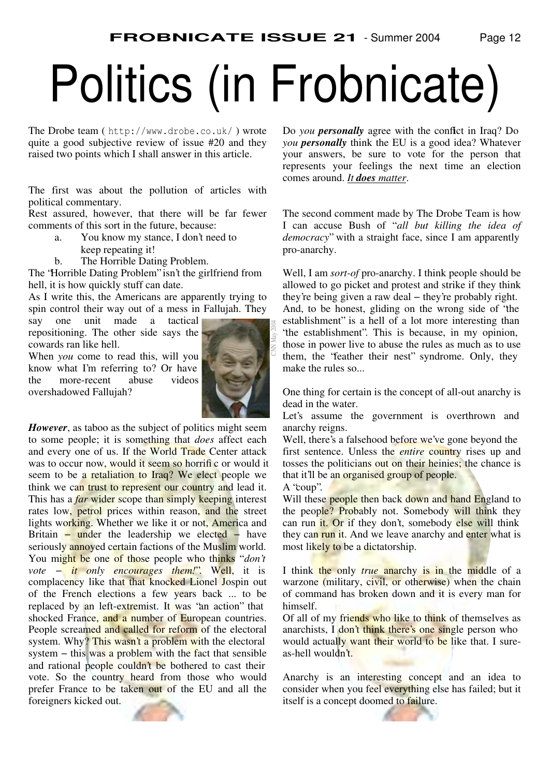# Politics (in Frobnicate)

The Drobe team ( http://www.drobe.co.uk/ ) wrote quite a good subjective review of issue #20 and they raised two points which I shall answer in this article.

The first was about the pollution of articles with political commentary.

Rest assured, however, that there will be far fewer comments of this sort in the future, because:

- a. You know my stance, I don't need to
	- keep repeating it!
- b. The Horrible Dating Problem.

The "Horrible Dating Problem" isn't the girlfriend from hell, it is how quickly stuff can date.

As I write this, the Americans are apparently trying to spin control their way out of a mess in Fallujah. They

say one unit made a tactical repositioning. The other side says the cowards ran like hell.

When *you* come to read this, will you know what I'm referring to? Or have the more-recent abuse videos overshadowed Fallujah?



CNN May 2004

*However*, as taboo as the subject of politics might seem to some people; it is something that *does* affect each and every one of us. If the World Trade Center attack was to occur now, would it seem so horrific or would it seem to be a retaliation to Iraq? We elect people we think we can trust to represent our country and lead it. This has a *far* wider scope than simply keeping interest rates low, petrol prices within reason, and the street lights working. Whether we like it or not, America and Britain – under the leadership we elected – have seriously annoyed certain factions of the Muslim world. You might be one of those people who thinks "*don't vote − it only encourages them!*". Well, it is complacency like that that knocked Lionel Jospin out of the French elections a few years back ... to be replaced by an left-extremist. It was 'an action' that shocked France, and a number of European countries. People screamed and called for reform of the electoral system. Why? This wasn't a problem with the electoral system – this was a problem with the fact that sensible and rational people couldn't be bothered to cast their vote. So the country heard from those who would prefer France to be taken out of the EU and all the foreigners kicked out.

Do *you personally* agree with the conflict in Iraq? Do *you personally* think the EU is a good idea? Whatever your answers, be sure to vote for the person that represents your feelings the next time an election comes around. *It does matter*.

The second comment made by The Drobe Team is how I can accuse Bush of " *all but killing the idea of democracy*" with a straight face, since I am apparently pro-anarchy.

Well, I am *sort-of* pro-anarchy. I think people should be allowed to go picket and protest and strike if they think they're being given a raw deal − they're probably right. And, to be honest, gliding on the wrong side of "the establishment" is a hell of a lot more interesting than "the establishment". This is because, in my opinion, those in power live to abuse the rules as much as to use them, the "feather their nest" syndrome. Only, they make the rules so...

One thing for certain is the concept of all-out anarchy is dead in the water.

Let's assume the government is overthrown and anarchy reigns.

Well, there's a falsehood before we've gone beyond the first sentence. Unless the *entire* country rises up and tosses the politicians out on their heinies; the chance is that it'll be an organised group of people.

A "coup".

Will these people then back down and hand England to the people? Probably not. Somebody will think they can run it. Or if they don't, somebody else will think they can run it. And we leave anarchy and enter what is most likely to be a dictatorship.

I think the only *true* anarchy is in the middle of a warzone (military, civil, or otherwise) when the chain of command has broken down and it is every man for himself.

Of all of my friends who like to think of themselves as anarchists, I don't think there's one single person who would actually want their world to be like that. I sureas-hell wouldn't.

Anarchy is an interesting concept and an idea to consider when you feel everything else has failed; but it itself is a concept doomed to failure.

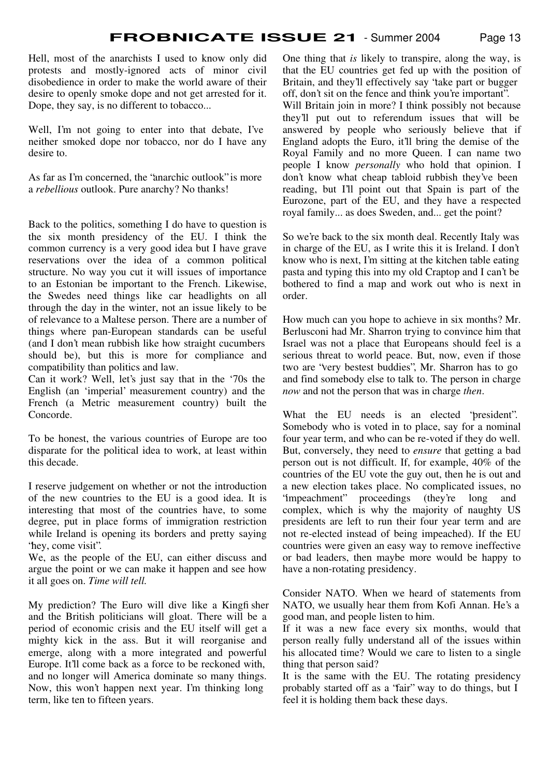Hell, most of the anarchists I used to know only did protests and mostly-ignored acts of minor civil disobedience in order to make the world aware of their desire to openly smoke dope and not get arrested for it. Dope, they say, is no different to tobacco...

Well, I'm not going to enter into that debate, I've neither smoked dope nor tobacco, nor do I have any desire to.

As far as I'm concerned, the "anarchic outlook" is more a *rebellious* outlook. Pure anarchy? No thanks!

Back to the politics, something I do have to question is the six month presidency of the EU. I think the common currency is a very good idea but I have grave reservations over the idea of a common political structure. No way you cut it will issues of importance to an Estonian be important to the French. Likewise, the Swedes need things like car headlights on all through the day in the winter, not an issue likely to be of relevance to a Maltese person. There are a number of things where pan-European standards can be useful (and I don't mean rubbish like how straight cucumbers should be), but this is more for compliance and compatibility than politics and law.

Can it work? Well, let's just say that in the '70s the English (an 'imperial' measurement country) and the French (a Metric measurement country) built the Concorde.

To be honest, the various countries of Europe are too disparate for the political idea to work, at least within this decade.

I reserve judgement on whether or not the introduction of the new countries to the EU is a good idea. It is interesting that most of the countries have, to some degree, put in place forms of immigration restriction while Ireland is opening its borders and pretty saying 'hey, come visit''.

We, as the people of the EU, can either discuss and argue the point or we can make it happen and see how it all goes on. *Time will tell.*

My prediction? The Euro will dive like a Kingfisher and the British politicians will gloat. There will be a period of economic crisis and the EU itself will get a mighty kick in the ass. But it will reorganise and emerge, along with a more integrated and powerful Europe. It'll come back as a force to be reckoned with, and no longer will America dominate so many things. Now, this won't happen next year. I'm thinking long term, like ten to fifteen years.

One thing that *is* likely to transpire, along the way, is that the EU countries get fed up with the position of Britain, and they'll effectively say "take part or bugger off, don't sit on the fence and think you're important". Will Britain join in more? I think possibly not because they'll put out to referendum issues that will be answered by people who seriously believe that if England adopts the Euro, it'll bring the demise of the Royal Family and no more Queen. I can name two people I know *personally* who hold that opinion. I don't know what cheap tabloid rubbish they've been reading, but I'll point out that Spain is part of the Eurozone, part of the EU, and they have a respected royal family... as does Sweden, and... get the point?

So we're back to the six month deal. Recently Italy was in charge of the EU, as I write this it is Ireland. I don't know who is next, I'm sitting at the kitchen table eating pasta and typing this into my old Craptop and I can't be bothered to find a map and work out who is next in order.

How much can you hope to achieve in six months? Mr. Berlusconi had Mr. Sharron trying to convince him that Israel was not a place that Europeans should feel is a serious threat to world peace. But, now, even if those two are "very bestest buddies", Mr. Sharron has to go and find somebody else to talk to. The person in charge *now* and not the person that was in charge *then*.

What the EU needs is an elected "president". Somebody who is voted in to place, say for a nominal four year term, and who can be re-voted if they do well. But, conversely, they need to *ensure* that getting a bad person out is not difficult. If, for example, 40% of the countries of the EU vote the guy out, then he is out and a new election takes place. No complicated issues, no 'impeachment'' proceedings (they're long and complex, which is why the majority of naughty US presidents are left to run their four year term and are not re-elected instead of being impeached). If the EU countries were given an easy way to remove ineffective or bad leaders, then maybe more would be happy to have a non-rotating presidency.

Consider NATO. When we heard of statements from NATO, we usually hear them from Kofi Annan. He's a good man, and people listen to him.

If it was a new face every six months, would that person really fully understand all of the issues within his allocated time? Would we care to listen to a single thing that person said?

It is the same with the EU. The rotating presidency probably started off as a "fair" way to do things, but I feel it is holding them back these days.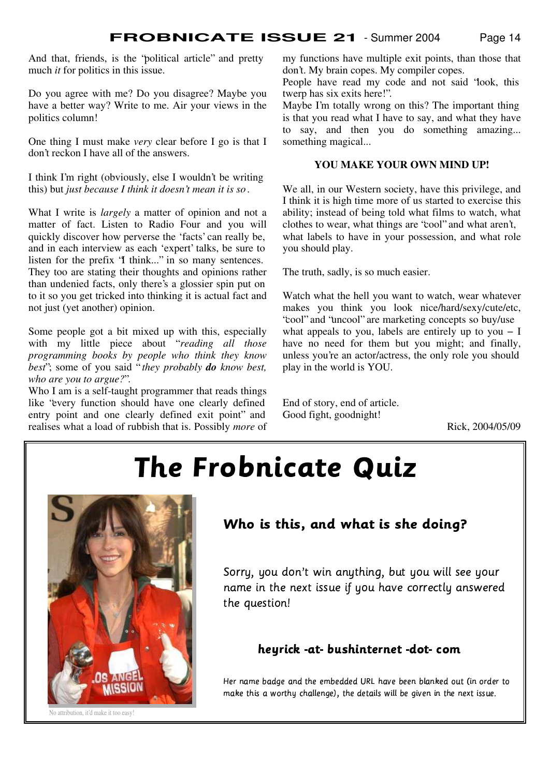And that, friends, is the "political article" and pretty much *it* for politics in this issue.

Do you agree with me? Do you disagree? Maybe you have a better way? Write to me. Air your views in the politics column!

One thing I must make *very* clear before I go is that I don't reckon I have all of the answers.

I think I'm right (obviously, else I wouldn't be writing this) but *just because I think it doesn't mean it is so*.

What I write is *largely* a matter of opinion and not a matter of fact. Listen to Radio Four and you will quickly discover how perverse the 'facts' can really be, and in each interview as each 'expert' talks, be sure to listen for the prefix "I think..." in so many sentences. They too are stating their thoughts and opinions rather than undenied facts, only there's a glossier spin put on to it so you get tricked into thinking it is actual fact and not just (yet another) opinion.

Some people got a bit mixed up with this, especially with my little piece about "*reading all those programming books by people who think they know best*"; some of you said " *they probably do know best, who are you to argue?*".

Who I am is a self-taught programmer that reads things like "every function should have one clearly defined entry point and one clearly defined exit point" and realises what a load of rubbish that is. Possibly *more* of my functions have multiple exit points, than those that don't. My brain copes. My compiler copes.

People have read my code and not said "look, this twerp has six exits here!".

Maybe I'm totally wrong on this? The important thing is that you read what I have to say, and what they have to say, and then you do something amazing... something magical...

#### **YOU MAKE YOUR OWN MIND UP!**

We all, in our Western society, have this privilege, and I think it is high time more of us started to exercise this ability; instead of being told what films to watch, what clothes to wear, what things are "cool" and what aren't, what labels to have in your possession, and what role you should play.

The truth, sadly, is so much easier.

Watch what the hell you want to watch, wear whatever makes you think you look nice/hard/sexy/cute/etc, "cool" and "uncool" are marketing concepts so buy/use what appeals to you, labels are entirely up to you  $-1$ have no need for them but you might; and finally, unless you're an actor/actress, the only role you should play in the world is YOU.

End of story, end of article. Good fight, goodnight!

Rick, 2004/05/09

# -



# Who is this, and what is she doing?

Sorry, you don't win anything, but you will see your name in the next issue if you have correctly answered the question!

### heyrick-at-bushinternet-dot-com

Her name badge and the embedded URL have been blanked out (in order to f4¢¤3¥1F^¦l§¨w wwª©¬«hw^¢ ¤1¥O¢ e,¢4¢|ww¨®dL¢¤¬¤¨ ,¯

No attribution, it'd make it too easy!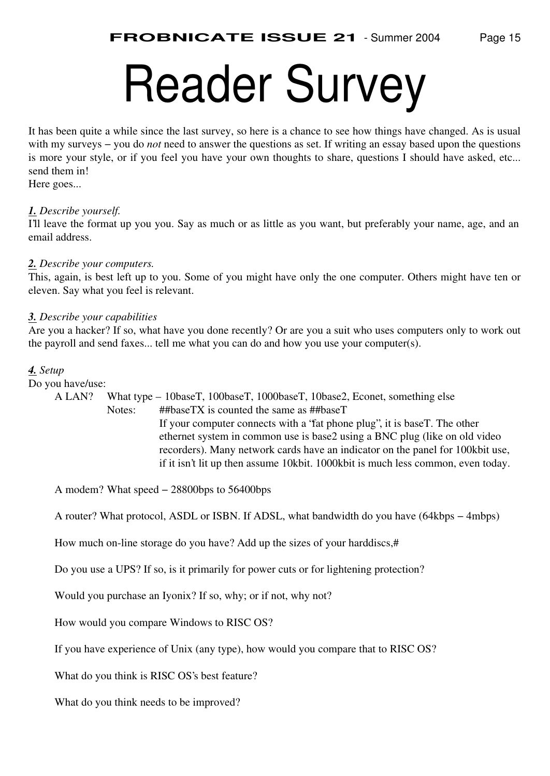# Reader Survey

It has been quite a while since the last survey, so here is a chance to see how things have changed. As is usual with my surveys − you do *not* need to answer the questions as set. If writing an essay based upon the questions is more your style, or if you feel you have your own thoughts to share, questions I should have asked, etc... send them in!

Here goes...

#### *1. Describe yourself.*

I'll leave the format up you you. Say as much or as little as you want, but preferably your name, age, and an email address.

#### *2. Describe your computers.*

This, again, is best left up to you. Some of you might have only the one computer. Others might have ten or eleven. Say what you feel is relevant.

#### *3. Describe your capabilities*

Are you a hacker? If so, what have you done recently? Or are you a suit who uses computers only to work out the payroll and send faxes... tell me what you can do and how you use your computer(s).

#### *4. Setup*

Do you have/use:

A LAN? What type – 10baseT, 100baseT, 1000baseT, 10base2, Econet, something else Notes: ##baseTX is counted the same as ##baseT If your computer connects with a "fat phone plug", it is baseT. The other ethernet system in common use is base2 using a BNC plug (like on old video recorders). Many network cards have an indicator on the panel for 100kbit use, if it isn't lit up then assume 10kbit. 1000kbit is much less common, even today.

A modem? What speed − 28800bps to 56400bps

A router? What protocol, ASDL or ISBN. If ADSL, what bandwidth do you have (64kbps − 4mbps)

How much on-line storage do you have? Add up the sizes of your harddiscs,#

Do you use a UPS? If so, is it primarily for power cuts or for lightening protection?

Would you purchase an Iyonix? If so, why; or if not, why not?

How would you compare Windows to RISC OS?

If you have experience of Unix (any type), how would you compare that to RISC OS?

What do you think is RISC OS's best feature?

What do you think needs to be improved?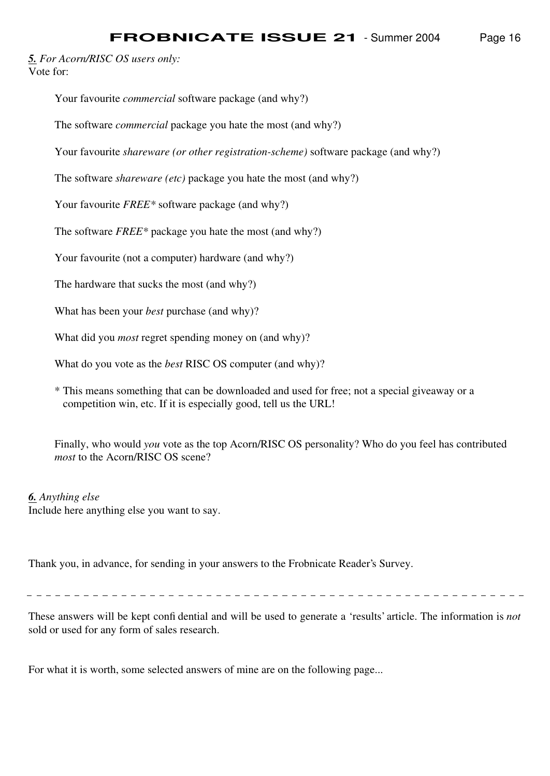*5. For Acorn/RISC OS users only:* Vote for:

Your favourite *commercial* software package (and why?)

The software *commercial* package you hate the most (and why?)

Your favourite *shareware (or other registration-scheme)* software package (and why?)

The software *shareware (etc)* package you hate the most (and why?)

Your favourite *FREE\** software package (and why?)

The software *FREE\** package you hate the most (and why?)

Your favourite (not a computer) hardware (and why?)

The hardware that sucks the most (and why?)

What has been your *best* purchase (and why)?

What did you *most* regret spending money on (and why)?

What do you vote as the *best* RISC OS computer (and why)?

\* This means something that can be downloaded and used for free; not a special giveaway or a competition win, etc. If it is especially good, tell us the URL!

Finally, who would *you* vote as the top Acorn/RISC OS personality? Who do you feel has contributed *most* to the Acorn/RISC OS scene?

#### *6. Anything else*

Include here anything else you want to say.

Thank you, in advance, for sending in your answers to the Frobnicate Reader's Survey.

These answers will be kept confidential and will be used to generate a 'results' article. The information is *not* sold or used for any form of sales research.

For what it is worth, some selected answers of mine are on the following page...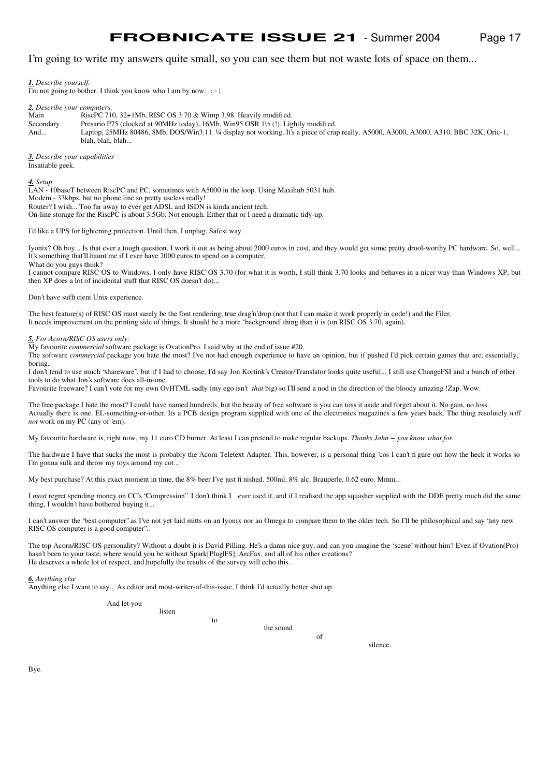I'm going to write my answers quite small, so you can see them but not waste lots of space on them...

*1. Describe yourself.*

I'm not going to bother. I think you know who I am by now.  $:-)$ 

*2. Describe your computers.*

Main RiscPC 710, 32+1Mb, RISC OS 3.70 & Wimp 3.98. Heavily modified.

Secondary Presario P75 (clocked at 90MHz today), 16Mb, Win95 OSR 1½ (!). Lightly modified.

And... Laptop, 25MHz 80486, 8Mb, DOS/Win3.11. ¼ display not working. It's a piece of crap really. A5000, A3000, A3000, A310, BBC 32K, Oric-1, blah, blah, blah...

*3. Describe your capabilities* Insatiable geek.

*4. Setup*

LAN - 10baseT between RiscPC and PC, sometimes with A5000 in the loop. Using Maxihub 5031 hub. Modem - 33kbps, but no phone line so pretty useless really! Router? I wish... Too far away to ever get ADSL and ISDN is kinda ancient tech.

On-line storage for the RiscPC is about 3.5Gb. Not enough. Either that or I need a dramatic tidy-up.

I'd like a UPS for lightening protection. Until then, I unplug. Safest way.

Iyonix? Oh boy... Is that ever a tough question. I work it out as being about 2000 euros in cost, and they would get some pretty drool-worthy PC hardware. So, well... It's something that'll haunt me if I ever have 2000 euros to spend on a computer. What do you guys think?

I cannot compare RISC OS to Windows. I only have RISC OS 3.70 (for what it is worth, I still think 3.70 looks and behaves in a nicer way than Windows XP, but then XP does a lot of incidental stuff that RISC OS doesn't do)...

Don't have sufficient Unix experience.

The best feature(s) of RISC OS must surely be the font rendering, true drag'n'drop (not that I can make it work properly in code!) and the Filer. It needs improvement on the printing side of things. It should be a more 'background' thing than it is (on RISC OS 3.70, again).

*5. For Acorn/RISC OS users only:*

My favourite *commercial* software package is OvationPro. I said why at the end of issue #20.

The software *commercial* package you hate the most? I've not had enough experience to have an opinion, but if pushed I'd pick certain games that are, essentially, boring.

I don't tend to use much "shareware", but if I had to choose, I'd say Jon Kortink's Creator/Translator looks quite useful... I still use ChangeFSI and a bunch of other tools to do what Jon's software does all-in-one.

Favourite freeware? I can't vote for my own OvHTML sadly (my ego isn't *that* big) so I'll send a nod in the direction of the bloody amazing !Zap. Wow.

The free package I hate the most? I could have named hundreds, but the beauty of free software is you can toss it aside and forget about it. No gain, no loss. Actually there is one. EL-something-or-other. Its a PCB design program supplied with one of the electronics magazines a few years back. The thing resolutely *will not* work on my PC (any of 'em).

My favourite hardware is, right now, my 11 euro CD burner. At least I can pretend to make regular backups. *Thanks John − you know what for.*

The hardware I have that sucks the most is probably the Acorn Teletext Adapter. This, however, is a personal thing 'cos I can't figure out how the heck it works so I'm gonna sulk and throw my toys around my cot...

My best purchase? At this exact moment in time, the 8% beer I've just finished. 500ml, 8% alc. Brauperle, 0.62 euro. Mmm...

to

I *most* regret spending money on CC's "Compression". I don't think I *ever* used it, and if I realised the app squasher supplied with the DDE pretty much did the same thing, I wouldn't have bothered buying it...

I can't answer the "best computer" as I've not yet laid mitts on an Iyonix nor an Omega to compare them to the older tech. So I'll be philosophical and say "any new RISC OS computer is a good computer".

The top Acorn/RISC OS personality? Without a doubt it is David Pilling. He's a damn nice guy, and can you imagine the 'scene' without him? Even if Ovation(Pro) hasn't been to your taste, where would you be without Spark[Plug|FS], ArcFax, and all of his other creations? He deserves a whole lot of respect, and hopefully the results of the survey will echo this.

*6. Anything else*

Anything else I want to say... As editor and most-writer-of-this-issue, I think I'd actually better shut up.

And let you

listen

the sound

of

silence.

Bye.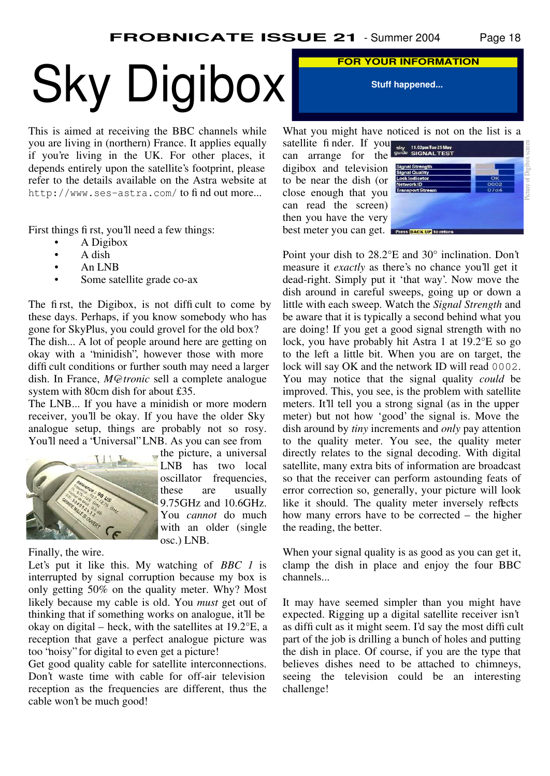# Sky Digibox **FOR YOUR INFORMATION**

This is aimed at receiving the BBC channels while you are living in (northern) France. It applies equally if you're living in the UK. For other places, it depends entirely upon the satellite's footprint, please refer to the details available on the Astra website at http://www.ses-astra.com/ to find out more...

First things first, you'll need a few things:

- A Digibox
- A dish
- An LNB
- Some satellite grade co-ax

The first, the Digibox, is not difficult to come by these days. Perhaps, if you know somebody who has gone for SkyPlus, you could grovel for the old box? The dish... A lot of people around here are getting on okay with a "minidish", however those with more difficult conditions or further south may need a larger dish. In France, *M@tronic* sell a complete analogue system with 80cm dish for about £35.

The LNB... If you have a minidish or more modern receiver, you'll be okay. If you have the older Sky analogue setup, things are probably not so rosy. You'll need a "Universal" LNB. As you can see from



 $\Box$  the picture, a universal LNB has two local oscillator frequencies, these are usually 9.75GHz and 10.6GHz. You *cannot* do much with an older (single osc.) LNB.

Finally, the wire.

Let's put it like this. My watching of *BBC 1* is interrupted by signal corruption because my box is only getting 50% on the quality meter. Why? Most likely because my cable is old. You *must* get out of thinking that if something works on analogue, it'll be okay on digital – heck, with the satellites at 19.2°E, a reception that gave a perfect analogue picture was too "noisy" for digital to even get a picture!

Get good quality cable for satellite interconnections. Don't waste time with cable for off-air television reception as the frequencies are different, thus the cable won't be much good!

**Stuff happened...**

What you might have noticed is not on the list is a

satellite finder. If you can arrange for the digibox and television to be near the dish (or close enough that you can read the screen) then you have the very best meter you can get.



Point your dish to 28.2°E and 30° inclination. Don't measure it *exactly* as there's no chance you'll get it dead-right. Simply put it 'that way'. Now move the dish around in careful sweeps, going up or down a little with each sweep. Watch the *Signal Strength* and be aware that it is typically a second behind what you are doing! If you get a good signal strength with no lock, you have probably hit Astra 1 at 19.2°E so go to the left a little bit. When you are on target, the lock will say OK and the network ID will read 0002. You may notice that the signal quality *could* be improved. This, you see, is the problem with satellite meters. It'll tell you a strong signal (as in the upper meter) but not how 'good' the signal is. Move the dish around by *tiny* increments and *only* pay attention to the quality meter. You see, the quality meter directly relates to the signal decoding. With digital satellite, many extra bits of information are broadcast so that the receiver can perform astounding feats of error correction so, generally, your picture will look like it should. The quality meter inversely reflects how many errors have to be corrected – the higher the reading, the better.

When your signal quality is as good as you can get it, clamp the dish in place and enjoy the four BBC channels...

It may have seemed simpler than you might have expected. Rigging up a digital satellite receiver isn't as difficult as it might seem. I'd say the most difficult part of the job is drilling a bunch of holes and putting the dish in place. Of course, if you are the type that believes dishes need to be attached to chimneys, seeing the television could be an interesting challenge!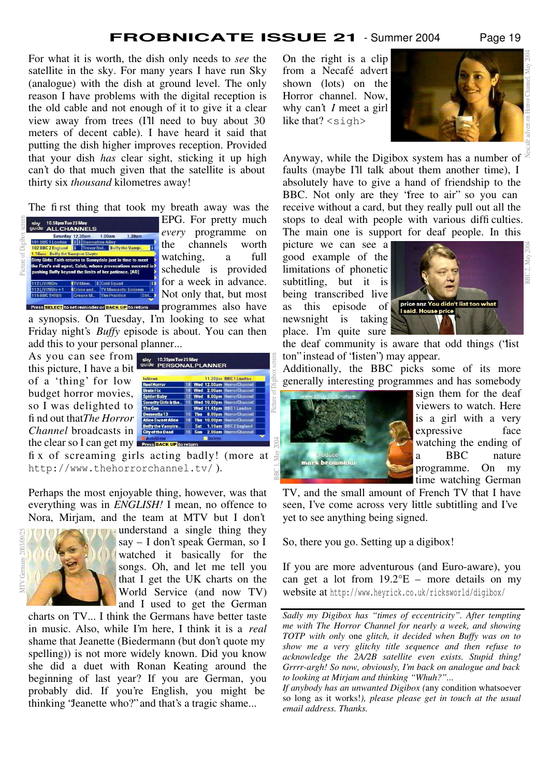Picture of Digibox screen

For what it is worth, the dish only needs to *see* the satellite in the sky. For many years I have run Sky (analogue) with the dish at ground level. The only reason I have problems with the digital reception is the old cable and not enough of it to give it a clear view away from trees (I'll need to buy about 30 meters of decent cable). I have heard it said that putting the dish higher improves reception. Provided that your dish *has* clear sight, sticking it up high can't do that much given that the satellite is about thirty six *thousand* kilometres away!

The first thing that took my breath away was the



EPG. For pretty much *every* programme on the channels worth watching, a full schedule is provided for a week in advance. Not only that, but most Press SELECT to set reminder or BACK UP to return programmes also have

a synopsis. On Tuesday, I'm looking to see what Friday night's *Buffy* episode is about. You can then add this to your personal planner...

As you can see from this picture, I have a bit of a 'thing' for low budget horror movies, so I was delighted to find out that *The Horror Channel* broadcasts in the clear so I can get my

| Inferno                  |    |            | 11.20pm BBC1 London          |
|--------------------------|----|------------|------------------------------|
| <b>Reel Horror</b>       | 18 |            | Wed 12.00am HorrorChannel    |
| <b>Brain Fix</b>         | 18 | Wed        | 2.00am HorrorChannel         |
| <b>Spider Baby</b>       | 12 | Wed        | <b>8.00pm HorrorChannel</b>  |
| Sorority Girls & the     | 15 |            | Wed 10.00pm HorrorChannel    |
| <b>The Con</b>           |    |            | Wed 11.45pm BBC1 London      |
| <b>Dementia 13</b>       | 15 | Thu        | <b>8.00pm HorrorChannel</b>  |
| <b>Alice Sweet Alice</b> | 18 | Thu        | <b>10,00pm HorrorChannel</b> |
| <b>Buffy the Vampire</b> |    | Sat        | 1.10am BBC2 England          |
| <b>City of the Dead</b>  | 15 | <b>Sun</b> | 2.00am HorrorChannel         |

fix of screaming girls acting badly! (more at http://www.thehorrorchannel.tv/ ).

Perhaps the most enjoyable thing, however, was that everything was in *ENGLISH!* I mean, no offence to Nora, Mirjam, and the team at MTV but I don't



understand a single thing they say – I don't speak German, so I watched it basically for the songs. Oh, and let me tell you that I get the UK charts on the World Service (and now TV) and I used to get the German

charts on TV... I think the Germans have better taste in music. Also, while I'm here, I think it is a *real* shame that Jeanette (Biedermann (but don't quote my spelling)) is not more widely known. Did you know she did a duet with Ronan Keating around the beginning of last year? If you are German, you probably did. If you're English, you might be thinking "Jeanette who?" and that's a tragic shame...

On the right is a clip from a Necafé advert shown (lots) on the Horror channel. Now, why can't *I* meet a girl like that? <sigh>



Anyway, while the Digibox system has a number of faults (maybe I'll talk about them another time), I absolutely have to give a hand of friendship to the BBC. Not only are they "free to air" so you can receive without a card, but they really pull out all the stops to deal with people with various difficulties. The main one is support for deaf people. In this

picture we can see a good example of the limitations of phonetic subtitling, but it is being transcribed live as this episode of newsnight is taking place. I'm quite sure



the deaf community is aware that odd things ("list ton" instead of "listen") may appear.

Additionally, the BBC picks some of its more generally interesting programmes and has somebody



sign them for the deaf viewers to watch. Here is a girl with a very expressive face watching the ending of a BBC nature programme. On my time watching German

TV, and the small amount of French TV that I have seen, I've come across very little subtitling and I've yet to see anything being signed.

So, there you go. Setting up a digibox!

If you are more adventurous (and Euro-aware), you can get a lot from  $19.2^{\circ}E$  – more details on my website at http://www.heyrick.co.uk/ricksworld/digibox/

3BC 2, May 20

*Sadly my Digibox has "times of eccentricity". After tempting me with The Horror Channel for nearly a week, and showing TOTP with only* one *glitch, it decided when Buffy was on to show me a very glitchy title sequence and then refuse to acknowledge the 2A/2B satellite even exists. Stupid thing! Grrrr-argh! So now, obviously, I'm back on analogue and back to looking at Mirjam and thinking "Whuh?"...*

*If anybody has an unwanted Digibox (*any condition whatsoever so long as it works!*), please please get in touch at the usual email address. Thanks.*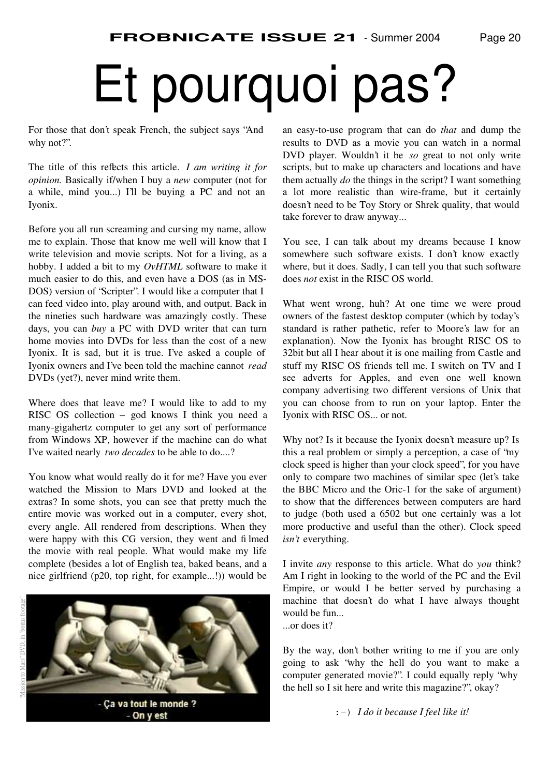# Et pourquoi pas?

For those that don't speak French, the subject says "And why not?".

The title of this reflects this article. *I am writing it for opinion.* Basically if/when I buy a *new* computer (not for a while, mind you...) I'll be buying a PC and not an Iyonix.

Before you all run screaming and cursing my name, allow me to explain. Those that know me well will know that I write television and movie scripts. Not for a living, as a hobby. I added a bit to my *OvHTML* software to make it much easier to do this, and even have a DOS (as in MS-DOS) version of "Scripter". I would like a computer that I can feed video into, play around with, and output. Back in the nineties such hardware was amazingly costly. These days, you can *buy* a PC with DVD writer that can turn home movies into DVDs for less than the cost of a new Iyonix. It is sad, but it is true. I've asked a couple of Iyonix owners and I've been told the machine cannot *read* DVDs (yet?), never mind write them.

Where does that leave me? I would like to add to my RISC OS collection – god knows I think you need a many-gigahertz computer to get any sort of performance from Windows XP, however if the machine can do what I've waited nearly *two decades* to be able to do....?

You know what would really do it for me? Have you ever watched the Mission to Mars DVD and looked at the extras? In some shots, you can see that pretty much the entire movie was worked out in a computer, every shot, every angle. All rendered from descriptions. When they were happy with this CG version, they went and filmed the movie with real people. What would make my life complete (besides a lot of English tea, baked beans, and a nice girlfriend (p20, top right, for example...!)) would be



an easy-to-use program that can do *that* and dump the results to DVD as a movie you can watch in a normal DVD player. Wouldn't it be *so* great to not only write scripts, but to make up characters and locations and have them actually *do* the things in the script? I want something a lot more realistic than wire-frame, but it certainly doesn't need to be Toy Story or Shrek quality, that would take forever to draw anyway...

You see, I can talk about my dreams because I know somewhere such software exists. I don't know exactly where, but it does. Sadly, I can tell you that such software does *not* exist in the RISC OS world.

What went wrong, huh? At one time we were proud owners of the fastest desktop computer (which by today's standard is rather pathetic, refer to Moore's law for an explanation). Now the Iyonix has brought RISC OS to 32bit but all I hear about it is one mailing from Castle and stuff my RISC OS friends tell me. I switch on TV and I see adverts for Apples, and even one well known company advertising two different versions of Unix that you can choose from to run on your laptop. Enter the Iyonix with RISC OS... or not.

Why not? Is it because the Iyonix doesn't measure up? Is this a real problem or simply a perception, a case of "my clock speed is higher than your clock speed", for you have only to compare two machines of similar spec (let's take the BBC Micro and the Oric-1 for the sake of argument) to show that the differences between computers are hard to judge (both used a 6502 but one certainly was a lot more productive and useful than the other). Clock speed *isn't* everything.

I invite *any* response to this article. What do *you* think? Am I right in looking to the world of the PC and the Evil Empire, or would I be better served by purchasing a machine that doesn't do what I have always thought would be fun...

...or does it?

By the way, don't bother writing to me if you are only going to ask "why the hell do you want to make a computer generated movie?". I could equally reply "why the hell so I sit here and write this magazine?", okay?

:-) *I do it because I feel like it!*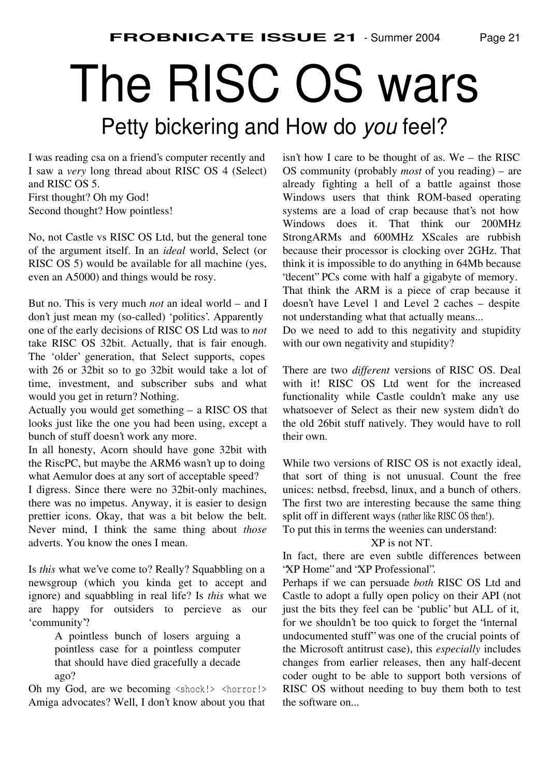# The RISC OS wars Petty bickering and How do *you* feel?

I was reading csa on a friend's computer recently and I saw a *very* long thread about RISC OS 4 (Select) and RISC OS 5.

First thought? Oh my God! Second thought? How pointless!

No, not Castle vs RISC OS Ltd, but the general tone of the argument itself. In an *ideal* world, Select (or RISC OS 5) would be available for all machine (yes, even an A5000) and things would be rosy.

But no. This is very much *not* an ideal world – and I don't just mean my (so-called) 'politics'. Apparently one of the early decisions of RISC OS Ltd was to *not* take RISC OS 32bit. Actually, that is fair enough. The 'older' generation, that Select supports, copes with 26 or 32bit so to go 32bit would take a lot of time, investment, and subscriber subs and what would you get in return? Nothing.

Actually you would get something – a RISC OS that looks just like the one you had been using, except a bunch of stuff doesn't work any more.

In all honesty, Acorn should have gone 32bit with the RiscPC, but maybe the ARM6 wasn't up to doing what Aemulor does at any sort of acceptable speed?

I digress. Since there were no 32bit-only machines, there was no impetus. Anyway, it is easier to design prettier icons. Okay, that was a bit below the belt. Never mind, I think the same thing about *those* adverts. You know the ones I mean.

Is *this* what we've come to? Really? Squabbling on a newsgroup (which you kinda get to accept and ignore) and squabbling in real life? Is *this* what we are happy for outsiders to percieve as our 'community'?

> A pointless bunch of losers arguing a pointless case for a pointless computer that should have died gracefully a decade ago?

Oh my God, are we becoming <shock!> <horror!> Amiga advocates? Well, I don't know about you that

isn't how I care to be thought of as. We – the RISC OS community (probably *most* of you reading) – are already fighting a hell of a battle against those Windows users that think ROM-based operating systems are a load of crap because that's not how Windows does it. That think our 200MHz StrongARMs and 600MHz XScales are rubbish because their processor is clocking over 2GHz. That think it is impossible to do anything in 64Mb because "decent" PCs come with half a gigabyte of memory. That think the ARM is a piece of crap because it

doesn't have Level 1 and Level 2 caches – despite not understanding what that actually means...

Do we need to add to this negativity and stupidity with our own negativity and stupidity?

There are two *different* versions of RISC OS. Deal with it! RISC OS Ltd went for the increased functionality while Castle couldn't make any use whatsoever of Select as their new system didn't do the old 26bit stuff natively. They would have to roll their own.

While two versions of RISC OS is not exactly ideal, that sort of thing is not unusual. Count the free unices: netbsd, freebsd, linux, and a bunch of others. The first two are interesting because the same thing split off in different ways (rather like RISC OS then!).

To put this in terms the weenies can understand:

XP is not NT.

In fact, there are even subtle differences between "XP Home" and "XP Professional".

Perhaps if we can persuade *both* RISC OS Ltd and Castle to adopt a fully open policy on their API (not just the bits they feel can be 'public' but ALL of it, for we shouldn't be too quick to forget the "internal undocumented stuff" was one of the crucial points of the Microsoft antitrust case), this *especially* includes changes from earlier releases, then any half-decent coder ought to be able to support both versions of RISC OS without needing to buy them both to test the software on...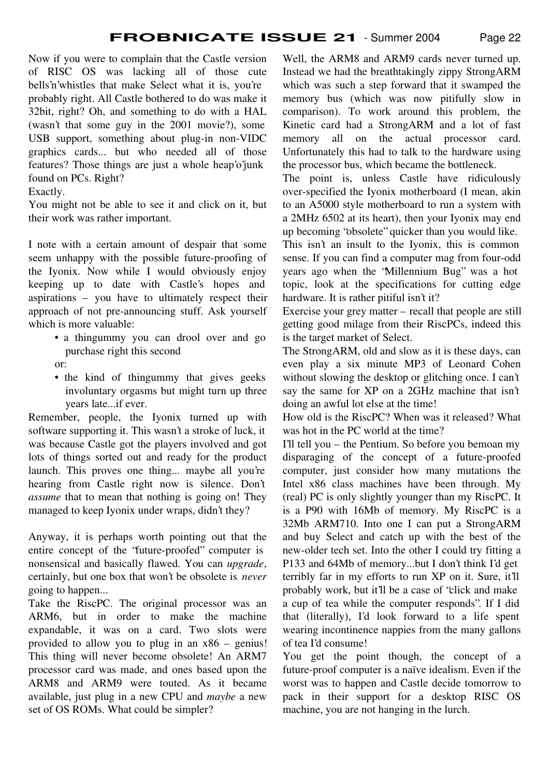Now if you were to complain that the Castle version of RISC OS was lacking all of those cute bells'n'whistles that make Select what it is, you're probably right. All Castle bothered to do was make it 32bit, right? Oh, and something to do with a HAL (wasn't that some guy in the 2001 movie?), some USB support, something about plug-in non-VIDC graphics cards... but who needed all of those features? Those things are just a whole heap'o'junk found on PCs. Right?

#### Exactly.

You might not be able to see it and click on it, but their work was rather important.

I note with a certain amount of despair that some seem unhappy with the possible future-proofing of the Iyonix. Now while I would obviously enjoy keeping up to date with Castle's hopes and aspirations – you have to ultimately respect their approach of not pre-announcing stuff. Ask yourself which is more valuable:

- a thingummy you can drool over and go purchase right this second
- or:
- the kind of thingummy that gives geeks involuntary orgasms but might turn up three years late...if ever.

Remember, people, the Iyonix turned up with software supporting it. This wasn't a stroke of luck, it was because Castle got the players involved and got lots of things sorted out and ready for the product launch. This proves one thing... maybe all you're hearing from Castle right now is silence. Don't *assume* that to mean that nothing is going on! They managed to keep Iyonix under wraps, didn't they?

Anyway, it is perhaps worth pointing out that the entire concept of the "future-proofed" computer is nonsensical and basically flawed. You can *upgrade*, certainly, but one box that won't be obsolete is *never* going to happen...

Take the RiscPC. The original processor was an ARM6, but in order to make the machine expandable, it was on a card. Two slots were provided to allow you to plug in an x86 – genius! This thing will never become obsolete! An ARM7 processor card was made, and ones based upon the ARM8 and ARM9 were touted. As it became available, just plug in a new CPU and *maybe* a new set of OS ROMs. What could be simpler?

Well, the ARM8 and ARM9 cards never turned up. Instead we had the breathtakingly zippy StrongARM which was such a step forward that it swamped the memory bus (which was now pitifully slow in comparison). To work around this problem, the Kinetic card had a StrongARM and a lot of fast memory all on the actual processor card. Unfortunately this had to talk to the hardware using the processor bus, which became the bottleneck.

The point is, unless Castle have ridiculously over-specified the Iyonix motherboard (I mean, akin to an A5000 style motherboard to run a system with a 2MHz 6502 at its heart), then your Iyonix may end up becoming "obsolete" quicker than you would like.

This isn't an insult to the Iyonix, this is common sense. If you can find a computer mag from four-odd years ago when the "Millennium Bug" was a hot topic, look at the specifications for cutting edge hardware. It is rather pitiful isn't it?

Exercise your grey matter – recall that people are still getting good milage from their RiscPCs, indeed this is the target market of Select.

The StrongARM, old and slow as it is these days, can even play a six minute MP3 of Leonard Cohen without slowing the desktop or glitching once. I can't say the same for XP on a 2GHz machine that isn't doing an awful lot else at the time!

How old is the RiscPC? When was it released? What was hot in the PC world at the time?

I'll tell you – the Pentium. So before you bemoan my disparaging of the concept of a future-proofed computer, just consider how many mutations the Intel x86 class machines have been through. My (real) PC is only slightly younger than my RiscPC. It is a P90 with 16Mb of memory. My RiscPC is a 32Mb ARM710. Into one I can put a StrongARM and buy Select and catch up with the best of the new-older tech set. Into the other I could try fitting a P133 and 64Mb of memory...but I don't think I'd get terribly far in my efforts to run XP on it. Sure, it'll probably work, but it'll be a case of "click and make a cup of tea while the computer responds". If I did that (literally), I'd look forward to a life spent wearing incontinence nappies from the many gallons of tea I'd consume!

You get the point though, the concept of a future-proof computer is a naïve idealism. Even if the worst was to happen and Castle decide tomorrow to pack in their support for a desktop RISC OS machine, you are not hanging in the lurch.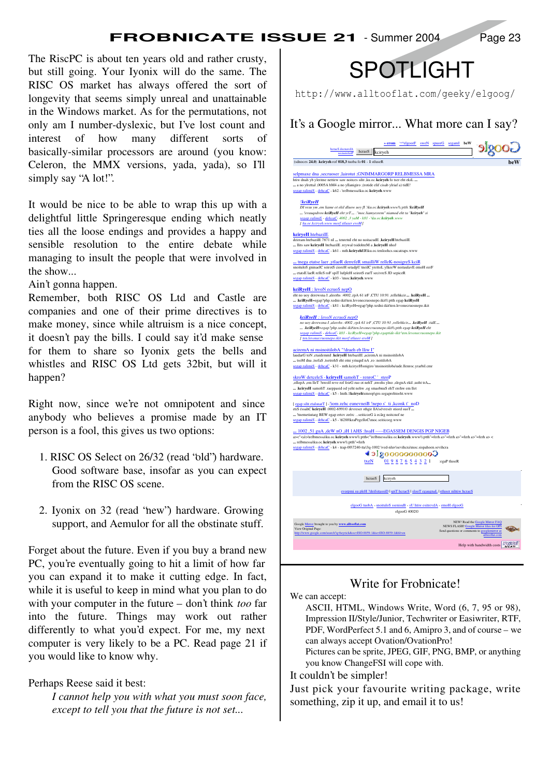The RiscPC is about ten years old and rather crusty, but still going. Your Iyonix will do the same. The RISC OS market has always offered the sort of longevity that seems simply unreal and unattainable in the Windows market. As for the permutations, not only am I number-dyslexic, but I've lost count and interest of how many different sorts of basically-similar processors are around (you know: Celeron, the MMX versions, yada, yada), so I'll simply say "A lot!".

It would be nice to be able to wrap this up with a delightful little Springeresque ending which neatly ties all the loose endings and provides a happy and sensible resolution to the entire debate while managing to insult the people that were involved in the show...

Ain't gonna happen.

Remember, both RISC OS Ltd and Castle are companies and one of their prime directives is to make money, since while altruism is a nice concept, it doesn't pay the bills. I could say it'd make sense for them to share so Iyonix gets the bells and whistles and RISC OS Ltd gets 32bit, but will it happen?

Right now, since we're not omnipotent and since anybody who believes a promise made by an IT person is a fool, this gives us two options:

- 1. RISC OS Select on 26/32 (read "old") hardware. Good software base, insofar as you can expect from the RISC OS scene.
- 2. Iyonix on 32 (read "new") hardware. Growing support, and Aemulor for all the obstinate stuff.

Forget about the future. Even if you buy a brand new PC, you're eventually going to hit a limit of how far you can expand it to make it cutting edge. In fact, while it is useful to keep in mind what you plan to do with your computer in the future – don't think *too* far into the future. Things may work out rather differently to what you'd expect. For me, my next computer is very likely to be a PC. Read page 21 if you would like to know why.

Perhaps Reese said it best:

*I cannot help you with what you must soon face, except to tell you that the future is not set...*



http://www.alltooflat.com/geeky/elgoog/

| $\ast$ erom                                                                                                                                                                                                                                                                                                                                                                   | <b>Strawburner Strawburner Space Separative Second</b> Second Second Second Second Second Second Second Second Second Second Second Second Second Second Second Second Second Second Second Second Second Second Second Second Seco |
|-------------------------------------------------------------------------------------------------------------------------------------------------------------------------------------------------------------------------------------------------------------------------------------------------------------------------------------------------------------------------------|-------------------------------------------------------------------------------------------------------------------------------------------------------------------------------------------------------------------------------------|
| hcraeS decnavdA<br>secnereferP<br>hcrae <sub>S</sub> kciryeh                                                                                                                                                                                                                                                                                                                  | Google                                                                                                                                                                                                                              |
| (sdnoces 24.0) .kciryeh rof 018,3 tuoba fo 01 - 1 stluseR                                                                                                                                                                                                                                                                                                                     | beW                                                                                                                                                                                                                                 |
| selpmaxe dna ,secruoser ,lairotut ;GNIMMARGORP RELBMESSA MRA<br>htiw dnah yb yleritne nettirw saw noitces siht ,ku.oc.kciryeh fo tser eht ekiL<br>a no ylrettal ,0005A bM4 a no yllanigiro ;(rotide elif cisab ylriaf a) tidE!<br>segap ralimiS - dehcaC - k62 - \relbmessa\ku.oc.kciryeh.www                                                                                 |                                                                                                                                                                                                                                     |
| !kciRyeH<br>DI resu ym ,em liame ot ekil dluow uoy fl .\ku.oc.kciryeh.www\\:ptth !kciRyeH<br>!erauqsdrow kciRyeH eht yrT  ."moc.liamyesrem" niamod eht ta "kciryeh" si<br>segap ralimiS - dehcaC- 4002 ,3 yaM - k81 - VaLoc.kciryeh.www<br>[ ku.oc.kciryeh.www morf stluser eroM]                                                                                             |                                                                                                                                                                                                                                     |
| kcirveH htebazilE<br>deirram htebazilE 7871 nI  tenretnI eht no noitacudE ,kciryeH htebazilE<br>llits saw kciryeH htebazilE .reywal tsidohteM a ,kciryeH nhoJ<br>segap ralimiS - dehcaC - k61 - mth.kciryehER\ku.oc.tenloohcs.sucatraps.www                                                                                                                                   |                                                                                                                                                                                                                                     |
| tnega etatse laer ,ytlaeR derrefeR smailliW relleK-nosigreS kciR<br>snoituloS gninaelC seirotS cioreH setadpU tneilC yrettoL ylkeeW noitaulavE emoH eerF<br>etatsE laeR relleS roF spiT lufpleH seirotS eurT secivreS JD sepiceR<br>segap ralimiS - dehcaC - k03 - \moc.kciryeh.www                                                                                           |                                                                                                                                                                                                                                     |
| kciRyeH : levoN ecruoS nepO<br>eht no uoy derewsna I ,aleerhs :4002 ,rpA 61 irF ,CTU 10:91 ,rellehkcir  .kciRyeH<br>kciRyeH=egap?php.xedni-ikit\ten.levonecruosnepo.ikit\\:ptth egap kciRyeH<br>segap ralimiS - dehcaC - k81 - kciRyeH=egap?php.xedni-ikit\ten.levonecruosnepo.ikit                                                                                           |                                                                                                                                                                                                                                     |
| kciRyeH : levoN ecruoS nepO<br>no uoy derewsna I , aleerhs : 4002 , rpA 61 irF , CTU 10:91 , rellehkcir . kciRyeH :tidE<br>.kciRyeH=egap?php.xedni-ikitVen.levonecruosnepo.ikit\\:ptth egap kciRyeH eht<br>segap ralimiS - dehcaC- k03 - kciRyeH=egap?php.egaptide-ikit \ten.levonecruosnepo.ikit<br>[ ten.levonecruosnepo.ikit morf stluser eroM]                            |                                                                                                                                                                                                                                     |
| aciremA ni msinoitilobA "!draeh eb lliw I"<br>laudarG toN ,etaidemmI .kciryeH htebazilE ,aciremA ni msinoitilobA<br>tsoM dna ,tsefaS ,tsetrohS eht otni yriuqnI nA ,ro :noitilobA<br>segap ralimiS - dehcaC - k31 - mth.kciryeHsnigiro \msinoitiloba\ude.llenroc.yrarbil.cmr                                                                                                  |                                                                                                                                                                                                                                     |
| skroW detceleS - kciryeH samohT - renroC' steoP<br>,ollopA ,em lleT ?nwolf reve rof feirG ruo ot nehT ,nwohs ylno ,slegnA ekil ,uoht trA<br>kciryeH samohT .raeppasid od yeht nehw ,og smaebnuS ehT erehw em llet<br>segap ralimiS - dehcaC - k5 - lmth.1kciryeh\smeop\gro.segaprehtoeht.www                                                                                  |                                                                                                                                                                                                                                     |
| [egap siht etalsnarT] - liom zehc eunevneiB !nepo s' ti ,kconk t' noD<br>etiS éssahC keiryeH .0002-6991C devreser sthgir llA\sévresér stiord suoT<br>!tnemetiutarg BEW egap ertov zeérc seiticoeG à ecârg noitcnof ne<br>segap ralimiS - dehcaC - k5 - \6288\kraPegelloC\moc.seiticoeg.www                                                                                    |                                                                                                                                                                                                                                     |
| 1002 ,51 guA ,deW nO ,iH 1AHS :hsaH -----EGASSEM DENGIS PGP NIGEB<br>a><" <a\>\relbmessa\ku.oc.kciryeh.www\\:ptth&lt;"\relbmessa\ku.oc.kciryeh.www\\:ptth"=ferh a&gt;"=ferh a&gt;"=ferh a&gt;"=ferh a&gt;"=ferh a&gt;<br/> relbmessa\ku.oc.kciryeh.www\\:ptth"=ferh<br/>segap ralimiS - dehcaC - k4 - trap-00\7240-tta\3q-1002 \ved-nluv\sevihcra\moc.sispahoen.sevihcra</a\> |                                                                                                                                                                                                                                     |
| ∢ാ! ഉറെറെറെററാ്<br>$\underline{01}$ <u>9</u> 8 7 6 5 4 3 2 1<br>txeN                                                                                                                                                                                                                                                                                                          | :egaP tluseR                                                                                                                                                                                                                        |
| kciryeh<br>hcraeS<br>evorpmi su pleH ?deifsitassiD   spiT hcraeS   slooT egaugnaL   stluser nihtiw hcraeS                                                                                                                                                                                                                                                                     |                                                                                                                                                                                                                                     |
| elgooG tuobA - snoituloS ssenisuB - sU htiw esitrevdA - emoH elgooG<br>elgooG 4002©                                                                                                                                                                                                                                                                                           |                                                                                                                                                                                                                                     |
| Google Mirror brought to you by www.alltooflat.com<br>View Original Page:<br>http://www.google.com/search?q=heyrick&oe=ISO-8859-1&ie=ISO-8859-1&hl=en                                                                                                                                                                                                                         | NEW! Read the Google Mirror FAQ<br>NEWS FLASH! Google Mirror files for OPI<br>Send questions or comments to googlemirror at<br>alltooflat.com                                                                                       |
|                                                                                                                                                                                                                                                                                                                                                                               |                                                                                                                                                                                                                                     |

#### Write for Frobnicate!

We can accept:

ASCII, HTML, Windows Write, Word (6, 7, 95 or 98), Impression II/Style/Junior, Techwriter or Easiwriter, RTF, PDF, WordPerfect 5.1 and 6, Amipro 3, and of course – we can always accept Ovation/OvationPro!

Pictures can be sprite, JPEG, GIF, PNG, BMP, or anything you know ChangeFSI will cope with.

#### It couldn't be simpler!

Just pick your favourite writing package, write something, zip it up, and email it to us!